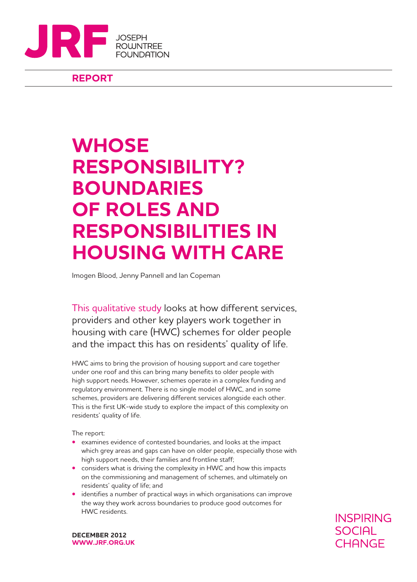

**REPORT**

## **WHOSE RESPONSIBILITY? BOUNDARIES OF ROLES AND RESPONSIBILITIES IN HOUSING WITH CARE**

Imogen Blood, Jenny Pannell and Ian Copeman

This qualitative study looks at how different services, providers and other key players work together in housing with care (HWC) schemes for older people and the impact this has on residents' quality of life.

HWC aims to bring the provision of housing support and care together under one roof and this can bring many benefits to older people with high support needs. However, schemes operate in a complex funding and regulatory environment. There is no single model of HWC, and in some schemes, providers are delivering different services alongside each other. This is the first UK-wide study to explore the impact of this complexity on residents' quality of life.

The report:

- examines evidence of contested boundaries, and looks at the impact which grey areas and gaps can have on older people, especially those with high support needs, their families and frontline staff;
- considers what is driving the complexity in HWC and how this impacts on the commissioning and management of schemes, and ultimately on residents' quality of life; and
- identifies a number of practical ways in which organisations can improve the way they work across boundaries to produce good outcomes for HWC residents.

**INSPIRING SOCIAL CHANGE** 

**DECEMBER 2012 WWW.JRF.ORG.UK**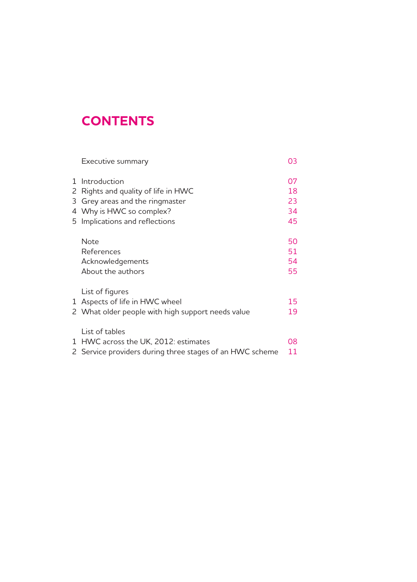## **CONTENTS**

|   | Executive summary                                                                                                                                    | 03                         |
|---|------------------------------------------------------------------------------------------------------------------------------------------------------|----------------------------|
| 3 | 1 Introduction<br>2 Rights and quality of life in HWC<br>Grey areas and the ringmaster<br>4 Why is HWC so complex?<br>5 Implications and reflections | 07<br>18<br>23<br>34<br>45 |
|   | <b>Note</b><br>References<br>Acknowledgements<br>About the authors                                                                                   | 50<br>51<br>54<br>55       |
|   | List of figures<br>1 Aspects of life in HWC wheel<br>2 What older people with high support needs value                                               | 15<br>19                   |
|   | List of tables<br>1 HWC across the UK, 2012: estimates<br>2 Service providers during three stages of an HWC scheme                                   | 08<br>11                   |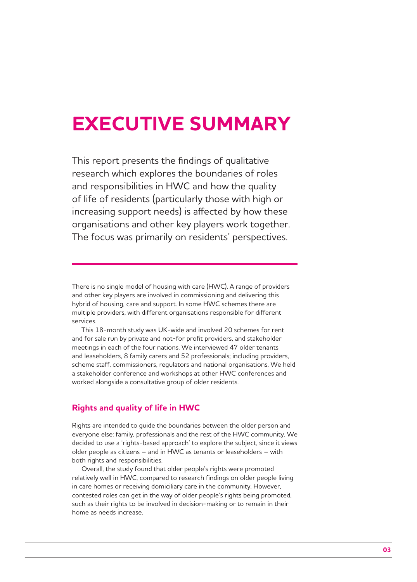## **EXECUTIVE SUMMARY**

This report presents the findings of qualitative research which explores the boundaries of roles and responsibilities in HWC and how the quality of life of residents (particularly those with high or increasing support needs) is affected by how these organisations and other key players work together. The focus was primarily on residents' perspectives.

There is no single model of housing with care (HWC). A range of providers and other key players are involved in commissioning and delivering this hybrid of housing, care and support. In some HWC schemes there are multiple providers, with different organisations responsible for different services.

This 18-month study was UK-wide and involved 20 schemes for rent and for sale run by private and not-for profit providers, and stakeholder meetings in each of the four nations. We interviewed 47 older tenants and leaseholders, 8 family carers and 52 professionals; including providers, scheme staff, commissioners, regulators and national organisations. We held a stakeholder conference and workshops at other HWC conferences and worked alongside a consultative group of older residents.

## **Rights and quality of life in HWC**

Rights are intended to guide the boundaries between the older person and everyone else: family, professionals and the rest of the HWC community. We decided to use a 'rights-based approach' to explore the subject, since it views older people as citizens – and in HWC as tenants or leaseholders – with both rights and responsibilities.

Overall, the study found that older people's rights were promoted relatively well in HWC, compared to research findings on older people living in care homes or receiving domiciliary care in the community. However, contested roles can get in the way of older people's rights being promoted, such as their rights to be involved in decision-making or to remain in their home as needs increase.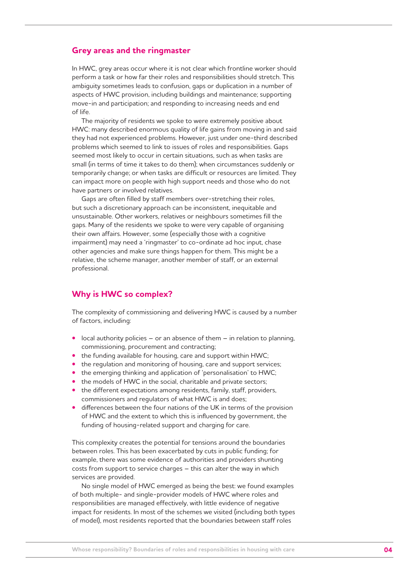### **Grey areas and the ringmaster**

In HWC, grey areas occur where it is not clear which frontline worker should perform a task or how far their roles and responsibilities should stretch. This ambiguity sometimes leads to confusion, gaps or duplication in a number of aspects of HWC provision, including buildings and maintenance; supporting move-in and participation; and responding to increasing needs and end of life.

The majority of residents we spoke to were extremely positive about HWC: many described enormous quality of life gains from moving in and said they had not experienced problems. However, just under one-third described problems which seemed to link to issues of roles and responsibilities. Gaps seemed most likely to occur in certain situations, such as when tasks are small (in terms of time it takes to do them); when circumstances suddenly or temporarily change; or when tasks are difficult or resources are limited. They can impact more on people with high support needs and those who do not have partners or involved relatives.

Gaps are often filled by staff members over-stretching their roles, but such a discretionary approach can be inconsistent, inequitable and unsustainable. Other workers, relatives or neighbours sometimes fill the gaps. Many of the residents we spoke to were very capable of organising their own affairs. However, some (especially those with a cognitive impairment) may need a 'ringmaster' to co-ordinate ad hoc input, chase other agencies and make sure things happen for them. This might be a relative, the scheme manager, another member of staff, or an external professional.

## **Why is HWC so complex?**

The complexity of commissioning and delivering HWC is caused by a number of factors, including:

- local authority policies or an absence of them in relation to planning, commissioning, procurement and contracting;
- the funding available for housing, care and support within HWC;
- the regulation and monitoring of housing, care and support services;
- the emerging thinking and application of 'personalisation' to HWC;
- the models of HWC in the social, charitable and private sectors;
- the different expectations among residents, family, staff, providers, commissioners and regulators of what HWC is and does;
- **•** differences between the four nations of the UK in terms of the provision of HWC and the extent to which this is influenced by government, the funding of housing-related support and charging for care.

This complexity creates the potential for tensions around the boundaries between roles. This has been exacerbated by cuts in public funding; for example, there was some evidence of authorities and providers shunting costs from support to service charges – this can alter the way in which services are provided.

No single model of HWC emerged as being the best: we found examples of both multiple- and single-provider models of HWC where roles and responsibilities are managed effectively, with little evidence of negative impact for residents. In most of the schemes we visited (including both types of model), most residents reported that the boundaries between staff roles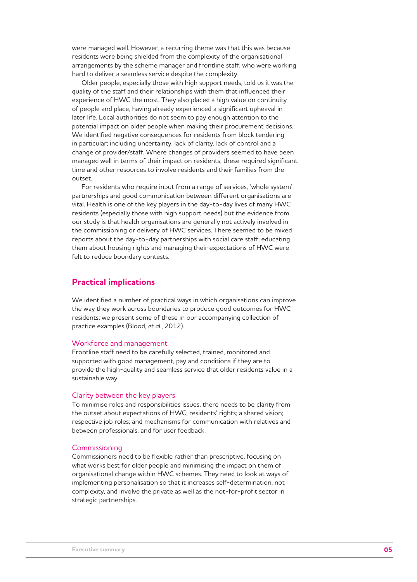were managed well. However, a recurring theme was that this was because residents were being shielded from the complexity of the organisational arrangements by the scheme manager and frontline staff, who were working hard to deliver a seamless service despite the complexity.

Older people, especially those with high support needs, told us it was the quality of the staff and their relationships with them that influenced their experience of HWC the most. They also placed a high value on continuity of people and place, having already experienced a significant upheaval in later life. Local authorities do not seem to pay enough attention to the potential impact on older people when making their procurement decisions. We identified negative consequences for residents from block tendering in particular; including uncertainty, lack of clarity, lack of control and a change of provider/staff. Where changes of providers seemed to have been managed well in terms of their impact on residents, these required significant time and other resources to involve residents and their families from the outset.

For residents who require input from a range of services, 'whole system' partnerships and good communication between different organisations are vital. Health is one of the key players in the day-to-day lives of many HWC residents (especially those with high support needs) but the evidence from our study is that health organisations are generally not actively involved in the commissioning or delivery of HWC services. There seemed to be mixed reports about the day-to-day partnerships with social care staff; educating them about housing rights and managing their expectations of HWC were felt to reduce boundary contests.

## **Practical implications**

We identified a number of practical ways in which organisations can improve the way they work across boundaries to produce good outcomes for HWC residents; we present some of these in our accompanying collection of practice examples (Blood, *et al*., 2012).

#### Workforce and management

Frontline staff need to be carefully selected, trained, monitored and supported with good management, pay and conditions if they are to provide the high-quality and seamless service that older residents value in a sustainable way.

#### Clarity between the key players

To minimise roles and responsibilities issues, there needs to be clarity from the outset about expectations of HWC; residents' rights; a shared vision; respective job roles; and mechanisms for communication with relatives and between professionals, and for user feedback.

#### Commissioning

Commissioners need to be flexible rather than prescriptive, focusing on what works best for older people and minimising the impact on them of organisational change within HWC schemes. They need to look at ways of implementing personalisation so that it increases self-determination, not complexity, and involve the private as well as the not-for-profit sector in strategic partnerships.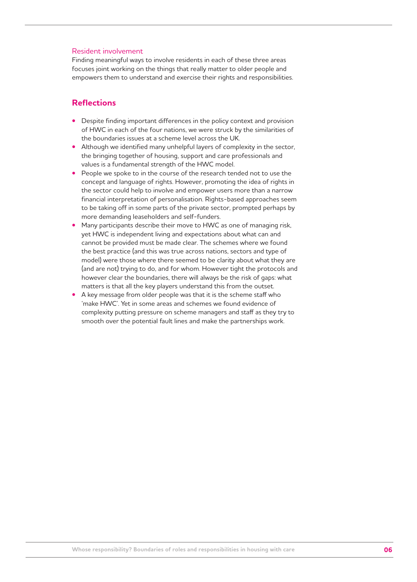#### Resident involvement

Finding meaningful ways to involve residents in each of these three areas focuses joint working on the things that really matter to older people and empowers them to understand and exercise their rights and responsibilities.

## **Reflections**

- Despite finding important differences in the policy context and provision of HWC in each of the four nations, we were struck by the similarities of the boundaries issues at a scheme level across the UK.
- Although we identified many unhelpful layers of complexity in the sector, the bringing together of housing, support and care professionals and values is a fundamental strength of the HWC model.
- People we spoke to in the course of the research tended not to use the concept and language of rights. However, promoting the idea of rights in the sector could help to involve and empower users more than a narrow financial interpretation of personalisation. Rights-based approaches seem to be taking off in some parts of the private sector, prompted perhaps by more demanding leaseholders and self-funders.
- Many participants describe their move to HWC as one of managing risk, yet HWC is independent living and expectations about what can and cannot be provided must be made clear. The schemes where we found the best practice (and this was true across nations, sectors and type of model) were those where there seemed to be clarity about what they are (and are not) trying to do, and for whom. However tight the protocols and however clear the boundaries, there will always be the risk of gaps: what matters is that all the key players understand this from the outset.
- A key message from older people was that it is the scheme staff who 'make HWC'. Yet in some areas and schemes we found evidence of complexity putting pressure on scheme managers and staff as they try to smooth over the potential fault lines and make the partnerships work.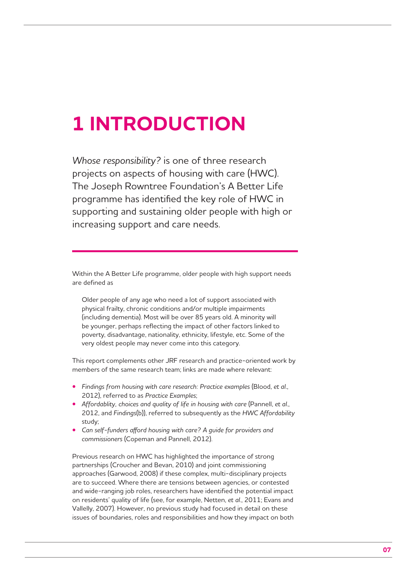## **1 INTRODUCTION**

*Whose responsibility?* is one of three research projects on aspects of housing with care (HWC). The Joseph Rowntree Foundation's A Better Life programme has identified the key role of HWC in supporting and sustaining older people with high or increasing support and care needs.

Within the A Better Life programme, older people with high support needs are defined as

Older people of any age who need a lot of support associated with physical frailty, chronic conditions and/or multiple impairments (including dementia). Most will be over 85 years old. A minority will be younger, perhaps reflecting the impact of other factors linked to poverty, disadvantage, nationality, ethnicity, lifestyle, etc. Some of the very oldest people may never come into this category.

This report complements other JRF research and practice-oriented work by members of the same research team; links are made where relevant:

- *Findings from housing with care research: Practice examples* (Blood, *et al*., 2012), referred to as *Practice Examples*;
- *Affordablity, choices and quality of life in housing with care* (Pannell, *et al*., 2012, and *Findings*(b)), referred to subsequently as the *HWC Affordability* study;
- Can self-funders afford housing with care? A guide for providers and *commissioners* (Copeman and Pannell, 2012).

Previous research on HWC has highlighted the importance of strong partnerships (Croucher and Bevan, 2010) and joint commissioning approaches (Garwood, 2008) if these complex, multi-disciplinary projects are to succeed. Where there are tensions between agencies, or contested and wide-ranging job roles, researchers have identified the potential impact on residents' quality of life (see, for example, Netten, *et al*., 2011; Evans and Vallelly, 2007). However, no previous study had focused in detail on these issues of boundaries, roles and responsibilities and how they impact on both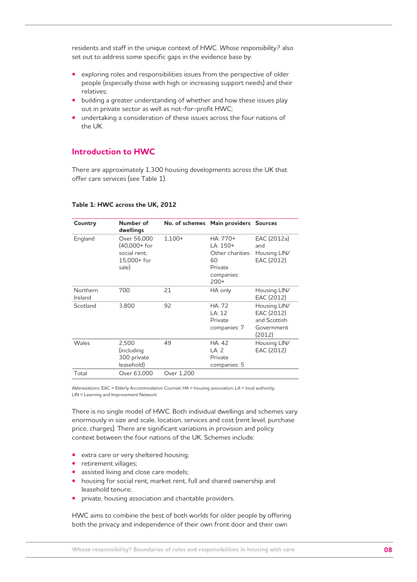residents and staff in the unique context of HWC. *Whose responsibility?* also set out to address some specific gaps in the evidence base by:

- exploring roles and responsibilities issues from the perspective of older people (especially those with high or increasing support needs) and their relatives;
- building a greater understanding of whether and how these issues play out in private sector as well as not-for-profit HWC;
- undertaking a consideration of these issues across the four nations of the UK.

## **Introduction to HWC**

There are approximately 1,300 housing developments across the UK that offer care services (see Table 1).

| Country             | Number of<br>dwellings                                                |            | No. of schemes Main providers Sources                                               |                                                                    |
|---------------------|-----------------------------------------------------------------------|------------|-------------------------------------------------------------------------------------|--------------------------------------------------------------------|
| England             | Over 56,000<br>$(40,000+$ for<br>social rent:<br>15.000+ for<br>sale) | $1.100+$   | HA: 770+<br>$LA: 150+$<br>Other charities:<br>60<br>Private<br>companies:<br>$200+$ | EAC (2012a)<br>and<br>Housing LIN/<br>EAC (2012)                   |
| Northern<br>Ireland | 700                                                                   | 21         | HA only                                                                             | Housing LIN/<br>EAC (2012)                                         |
| Scotland            | 3,800                                                                 | 92         | HA: 72<br>LA: 12<br>Private<br>companies: 7                                         | Housing LIN/<br>EAC (2012)<br>and Scottish<br>Government<br>(2012) |
| Wales               | 2.500<br>(including<br>300 private<br>leasehold)                      | 49         | HA: 42<br>LA: 2<br>Private<br>companies: 5                                          | Housing LIN/<br>EAC (2012)                                         |
| Total               | Over 63,000                                                           | Over 1,200 |                                                                                     |                                                                    |

#### **Table 1: HWC across the UK, 2012**

Abbreviations: EAC = Elderly Accommodation Counsel; HA = housing association; LA = local authority; LIN = Learning and Improvement Network

There is no single model of HWC. Both individual dwellings and schemes vary enormously in size and scale, location, services and cost (rent level, purchase price, charges). There are significant variations in provision and policy context between the four nations of the UK. Schemes include:

- extra care or very sheltered housing;
- retirement villages;
- assisted living and close care models;
- housing for social rent, market rent, full and shared ownership and leasehold tenure;
- private, housing association and charitable providers.

HWC aims to combine the best of both worlds for older people by offering both the privacy and independence of their own front door and their own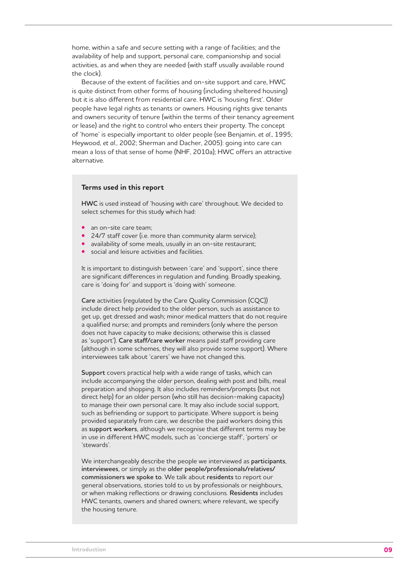home, within a safe and secure setting with a range of facilities; and the availability of help and support, personal care, companionship and social activities, as and when they are needed (with staff usually available round the clock).

Because of the extent of facilities and on-site support and care, HWC is quite distinct from other forms of housing (including sheltered housing) but it is also different from residential care. HWC is 'housing first'. Older people have legal rights as tenants or owners. Housing rights give tenants and owners security of tenure (within the terms of their tenancy agreement or lease) and the right to control who enters their property. The concept of 'home' is especially important to older people (see Benjamin, *et al*., 1995; Heywood, *et al*., 2002; Sherman and Dacher, 2005): going into care can mean a loss of that sense of home (NHF, 2010a); HWC offers an attractive alternative.

#### **Terms used in this report**

**HWC** is used instead of 'housing with care' throughout. We decided to select schemes for this study which had:

- an on-site care team;
- 24/7 staff cover (i.e. more than community alarm service);
- availability of some meals, usually in an on-site restaurant;
- social and leisure activities and facilities.

It is important to distinguish between 'care' and 'support', since there are significant differences in regulation and funding. Broadly speaking, care is 'doing for' and support is 'doing with' someone.

**Care** activities (regulated by the Care Quality Commission (CQC)) include direct help provided to the older person, such as assistance to get up, get dressed and wash; minor medical matters that do not require a qualified nurse; and prompts and reminders (only where the person does not have capacity to make decisions; otherwise this is classed as 'support'). **Care staff/care worker** means paid staff providing care (although in some schemes, they will also provide some support). Where interviewees talk about 'carers' we have not changed this.

**Support** covers practical help with a wide range of tasks, which can include accompanying the older person, dealing with post and bills, meal preparation and shopping. It also includes reminders/prompts (but not direct help) for an older person (who still has decision-making capacity) to manage their own personal care. It may also include social support, such as befriending or support to participate. Where support is being provided separately from care, we describe the paid workers doing this as **support workers**, although we recognise that different terms may be in use in different HWC models, such as 'concierge staff', 'porters' or 'stewards'.

We interchangeably describe the people we interviewed as **participants**, **interviewees**, or simply as the **older people/professionals/relatives/ commissioners we spoke to**. We talk about **residents** to report our general observations, stories told to us by professionals or neighbours, or when making reflections or drawing conclusions. **Residents** includes HWC tenants, owners and shared owners; where relevant, we specify the housing tenure.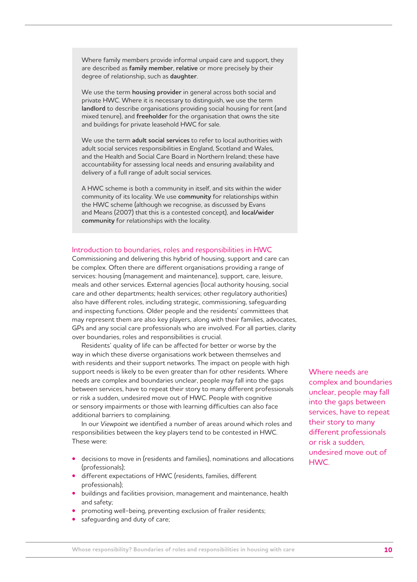Where family members provide informal unpaid care and support, they are described as **family member**, **relative** or more precisely by their degree of relationship, such as **daughter**.

We use the term **housing provider** in general across both social and private HWC. Where it is necessary to distinguish, we use the term **landlord** to describe organisations providing social housing for rent (and mixed tenure), and **freeholder** for the organisation that owns the site and buildings for private leasehold HWC for sale.

We use the term **adult social services** to refer to local authorities with adult social services responsibilities in England, Scotland and Wales, and the Health and Social Care Board in Northern Ireland; these have accountability for assessing local needs and ensuring availability and delivery of a full range of adult social services.

A HWC scheme is both a community in itself, and sits within the wider community of its locality. We use **community** for relationships within the HWC scheme (although we recognise, as discussed by Evans and Means (2007) that this is a contested concept), and **local/wider community** for relationships with the locality.

#### Introduction to boundaries, roles and responsibilities in HWC

Commissioning and delivering this hybrid of housing, support and care can be complex. Often there are different organisations providing a range of services: housing (management and maintenance), support, care, leisure, meals and other services. External agencies (local authority housing, social care and other departments; health services; other regulatory authorities) also have different roles, including strategic, commissioning, safeguarding and inspecting functions. Older people and the residents' committees that may represent them are also key players, along with their families, advocates, GPs and any social care professionals who are involved. For all parties, clarity over boundaries, roles and responsibilities is crucial.

Residents' quality of life can be affected for better or worse by the way in which these diverse organisations work between themselves and with residents and their support networks. The impact on people with high support needs is likely to be even greater than for other residents. Where needs are complex and boundaries unclear, people may fall into the gaps between services, have to repeat their story to many different professionals or risk a sudden, undesired move out of HWC. People with cognitive or sensory impairments or those with learning difficulties can also face additional barriers to complaining.

In our *Viewpoint* we identified a number of areas around which roles and responsibilities between the key players tend to be contested in HWC. These were:

- decisions to move in (residents and families), nominations and allocations (professionals);
- different expectations of HWC (residents, families, different professionals);
- buildings and facilities provision, management and maintenance, health and safety;
- promoting well-being, preventing exclusion of frailer residents;
- safeguarding and duty of care;

Where needs are complex and boundaries unclear, people may fall into the gaps between services, have to repeat their story to many different professionals or risk a sudden, undesired move out of HWC.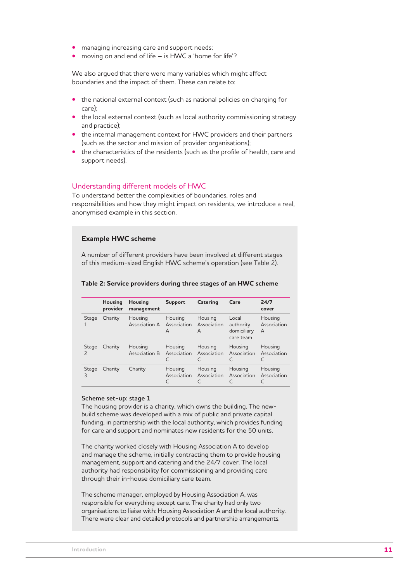- managing increasing care and support needs;
- moving on and end of life is HWC a 'home for life'?

We also argued that there were many variables which might affect boundaries and the impact of them. These can relate to:

- the national external context (such as national policies on charging for care);
- the local external context (such as local authority commissioning strategy and practice);
- the internal management context for HWC providers and their partners (such as the sector and mission of provider organisations);
- the characteristics of the residents (such as the profile of health, care and support needs).

#### Understanding different models of HWC

To understand better the complexities of boundaries, roles and responsibilities and how they might impact on residents, we introduce a real, anonymised example in this section.

#### **Example HWC scheme**

A number of different providers have been involved at different stages of this medium-sized English HWC scheme's operation (see Table 2).

|                         | <b>Housing</b><br>provider | <b>Housing</b><br>management | Support                     | Catering                    | Care                                           | 24/7<br>cover               |
|-------------------------|----------------------------|------------------------------|-----------------------------|-----------------------------|------------------------------------------------|-----------------------------|
| Stage<br>1              | Charity                    | Housing<br>Association A     | Housing<br>Association<br>A | Housing<br>Association<br>A | Local<br>authority<br>domiciliary<br>care team | Housing<br>Association<br>A |
| Stage<br>$\overline{c}$ | Charity                    | Housing<br>Association B     | Housing<br>Association      | Housing<br>Association      | Housing<br>Association                         | Housing<br>Association      |
| Stage<br>3              | Charity                    | Charity                      | Housing<br>Association      | Housing<br>Association      | Housing<br>Association                         | Housing<br>Association      |

#### **Table 2: Service providers during three stages of an HWC scheme**

#### **Scheme set-up: stage 1**

The housing provider is a charity, which owns the building. The newbuild scheme was developed with a mix of public and private capital funding, in partnership with the local authority, which provides funding for care and support and nominates new residents for the 50 units.

The charity worked closely with Housing Association A to develop and manage the scheme, initially contracting them to provide housing management, support and catering and the 24/7 cover. The local authority had responsibility for commissioning and providing care through their in-house domiciliary care team.

The scheme manager, employed by Housing Association A, was responsible for everything except care. The charity had only two organisations to liaise with: Housing Association A and the local authority. There were clear and detailed protocols and partnership arrangements.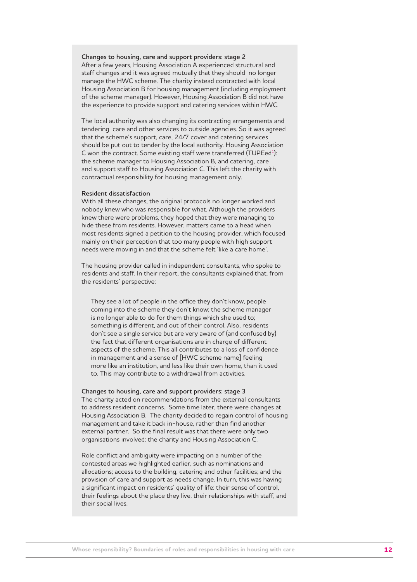#### **Changes to housing, care and support providers: stage 2**

After a few years, Housing Association A experienced structural and staff changes and it was agreed mutually that they should no longer manage the HWC scheme. The charity instead contracted with local Housing Association B for housing management (including employment of the scheme manager). However, Housing Association B did not have the experience to provide support and catering services within HWC.

The local authority was also changing its contracting arrangements and tendering care and other services to outside agencies. So it was agreed that the scheme's support, care, 24/7 cover and catering services should be put out to tender by the local authority. Housing Association C won the contract. Some existing staff were transferred (TUPEed<sup>1</sup>): the scheme manager to Housing Association B, and catering, care and support staff to Housing Association C. This left the charity with contractual responsibility for housing management only.

#### **Resident dissatisfaction**

With all these changes, the original protocols no longer worked and nobody knew who was responsible for what. Although the providers knew there were problems, they hoped that they were managing to hide these from residents. However, matters came to a head when most residents signed a petition to the housing provider, which focused mainly on their perception that too many people with high support needs were moving in and that the scheme felt 'like a care home'.

The housing provider called in independent consultants, who spoke to residents and staff. In their report, the consultants explained that, from the residents' perspective:

They see a lot of people in the office they don't know, people coming into the scheme they don't know; the scheme manager is no longer able to do for them things which she used to; something is different, and out of their control. Also, residents don't see a single service but are very aware of (and confused by) the fact that different organisations are in charge of different aspects of the scheme. This all contributes to a loss of confidence in management and a sense of [HWC scheme name] feeling more like an institution, and less like their own home, than it used to. This may contribute to a withdrawal from activities.

#### **Changes to housing, care and support providers: stage 3**

The charity acted on recommendations from the external consultants to address resident concerns. Some time later, there were changes at Housing Association B. The charity decided to regain control of housing management and take it back in-house, rather than find another external partner. So the final result was that there were only two organisations involved: the charity and Housing Association C.

Role conflict and ambiguity were impacting on a number of the contested areas we highlighted earlier, such as nominations and allocations; access to the building, catering and other facilities; and the provision of care and support as needs change. In turn, this was having a significant impact on residents' quality of life: their sense of control, their feelings about the place they live, their relationships with staff, and their social lives.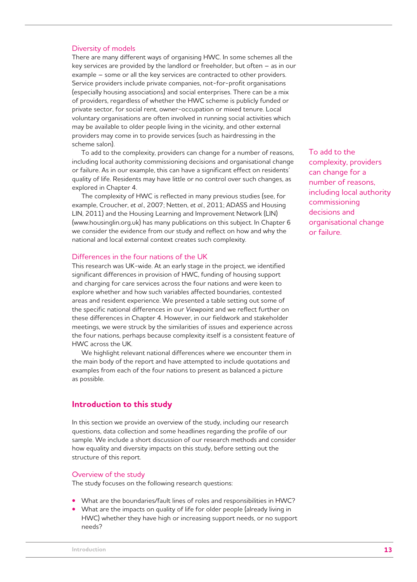#### Diversity of models

There are many different ways of organising HWC. In some schemes all the key services are provided by the landlord or freeholder, but often – as in our example – some or all the key services are contracted to other providers. Service providers include private companies, not-for-profit organisations (especially housing associations) and social enterprises. There can be a mix of providers, regardless of whether the HWC scheme is publicly funded or private sector, for social rent, owner-occupation or mixed tenure. Local voluntary organisations are often involved in running social activities which may be available to older people living in the vicinity, and other external providers may come in to provide services (such as hairdressing in the scheme salon).

To add to the complexity, providers can change for a number of reasons, including local authority commissioning decisions and organisational change or failure. As in our example, this can have a significant effect on residents' quality of life. Residents may have little or no control over such changes, as explored in Chapter 4.

The complexity of HWC is reflected in many previous studies (see, for example, Croucher, *et al*., 2007; Netten, *et al*., 2011; ADASS and Housing LIN, 2011) and the Housing Learning and Improvement Network (LIN) (www.housinglin.org.uk) has many publications on this subject. In Chapter 6 we consider the evidence from our study and reflect on how and why the national and local external context creates such complexity.

#### Differences in the four nations of the UK

This research was UK-wide. At an early stage in the project, we identified significant differences in provision of HWC, funding of housing support and charging for care services across the four nations and were keen to explore whether and how such variables affected boundaries, contested areas and resident experience. We presented a table setting out some of the specific national differences in our *Viewpoint* and we reflect further on these differences in Chapter 4. However, in our fieldwork and stakeholder meetings, we were struck by the similarities of issues and experience across the four nations, perhaps because complexity itself is a consistent feature of HWC across the UK.

We highlight relevant national differences where we encounter them in the main body of the report and have attempted to include quotations and examples from each of the four nations to present as balanced a picture as possible.

#### **Introduction to this study**

In this section we provide an overview of the study, including our research questions, data collection and some headlines regarding the profile of our sample. We include a short discussion of our research methods and consider how equality and diversity impacts on this study, before setting out the structure of this report.

#### Overview of the study

The study focuses on the following research questions:

- What are the boundaries/fault lines of roles and responsibilities in HWC?
- What are the impacts on quality of life for older people (already living in HWC) whether they have high or increasing support needs, or no support needs?

To add to the complexity, providers can change for a number of reasons, including local authority commissioning decisions and organisational change or failure.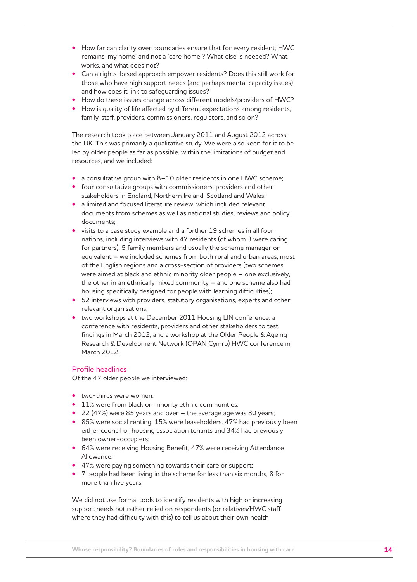- How far can clarity over boundaries ensure that for every resident, HWC remains 'my home' and not a 'care home'? What else is needed? What works, and what does not?
- Can a rights-based approach empower residents? Does this still work for those who have high support needs (and perhaps mental capacity issues) and how does it link to safeguarding issues?
- How do these issues change across different models/providers of HWC?
- How is quality of life affected by different expectations among residents, family, staff, providers, commissioners, regulators, and so on?

The research took place between January 2011 and August 2012 across the UK. This was primarily a qualitative study. We were also keen for it to be led by older people as far as possible, within the limitations of budget and resources, and we included:

- a consultative group with 8–10 older residents in one HWC scheme;
- four consultative groups with commissioners, providers and other stakeholders in England, Northern Ireland, Scotland and Wales;
- a limited and focused literature review, which included relevant documents from schemes as well as national studies, reviews and policy documents;
- visits to a case study example and a further 19 schemes in all four nations, including interviews with 47 residents (of whom 3 were caring for partners), 5 family members and usually the scheme manager or equivalent – we included schemes from both rural and urban areas, most of the English regions and a cross-section of providers (two schemes were aimed at black and ethnic minority older people – one exclusively, the other in an ethnically mixed community – and one scheme also had housing specifically designed for people with learning difficulties);
- 52 interviews with providers, statutory organisations, experts and other relevant organisations;
- two workshops at the December 2011 Housing LIN conference, a conference with residents, providers and other stakeholders to test findings in March 2012, and a workshop at the Older People & Ageing Research & Development Network (OPAN Cymru) HWC conference in March 2012.

## Profile headlines

Of the 47 older people we interviewed:

- two-thirds were women;
- 11% were from black or minority ethnic communities;
- 22 (47%) were 85 years and over the average age was 80 years;
- 85% were social renting, 15% were leaseholders, 47% had previously been either council or housing association tenants and 34% had previously been owner-occupiers;
- 64% were receiving Housing Benefit, 47% were receiving Attendance Allowance;
- 47% were paying something towards their care or support;
- 7 people had been living in the scheme for less than six months, 8 for more than five years.

We did not use formal tools to identify residents with high or increasing support needs but rather relied on respondents (or relatives/HWC staff where they had difficulty with this) to tell us about their own health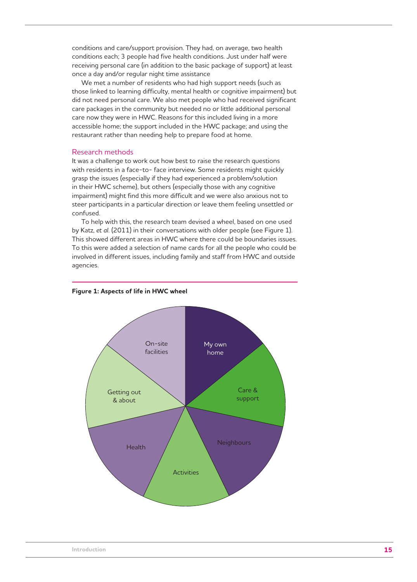conditions and care/support provision. They had, on average, two health conditions each; 3 people had five health conditions. Just under half were receiving personal care (in addition to the basic package of support) at least once a day and/or regular night time assistance

We met a number of residents who had high support needs (such as those linked to learning difficulty, mental health or cognitive impairment) but did not need personal care. We also met people who had received significant care packages in the community but needed no or little additional personal care now they were in HWC. Reasons for this included living in a more accessible home; the support included in the HWC package; and using the restaurant rather than needing help to prepare food at home.

#### Research methods

It was a challenge to work out how best to raise the research questions with residents in a face-to- face interview. Some residents might quickly grasp the issues (especially if they had experienced a problem/solution in their HWC scheme), but others (especially those with any cognitive impairment) might find this more difficult and we were also anxious not to steer participants in a particular direction or leave them feeling unsettled or confused.

To help with this, the research team devised a wheel, based on one used by Katz, *et al*. (2011) in their conversations with older people (see Figure 1). This showed different areas in HWC where there could be boundaries issues. To this were added a selection of name cards for all the people who could be involved in different issues, including family and staff from HWC and outside agencies.



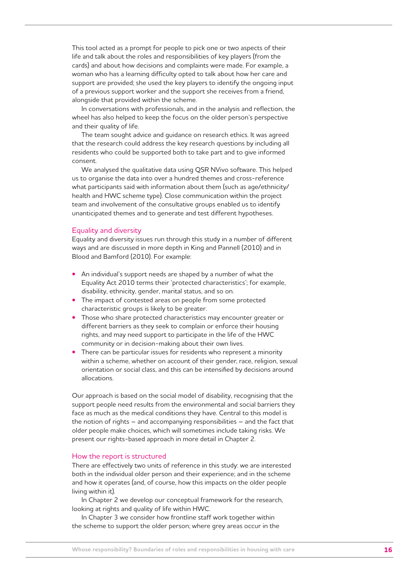This tool acted as a prompt for people to pick one or two aspects of their life and talk about the roles and responsibilities of key players (from the cards) and about how decisions and complaints were made. For example, a woman who has a learning difficulty opted to talk about how her care and support are provided; she used the key players to identify the ongoing input of a previous support worker and the support she receives from a friend, alongside that provided within the scheme.

In conversations with professionals, and in the analysis and reflection, the wheel has also helped to keep the focus on the older person's perspective and their quality of life.

The team sought advice and guidance on research ethics. It was agreed that the research could address the key research questions by including all residents who could be supported both to take part and to give informed consent.

We analysed the qualitative data using QSR NVivo software. This helped us to organise the data into over a hundred themes and cross-reference what participants said with information about them (such as age/ethnicity/ health and HWC scheme type). Close communication within the project team and involvement of the consultative groups enabled us to identify unanticipated themes and to generate and test different hypotheses.

#### Equality and diversity

Equality and diversity issues run through this study in a number of different ways and are discussed in more depth in King and Pannell (2010) and in Blood and Bamford (2010). For example:

- An individual's support needs are shaped by a number of what the Equality Act 2010 terms their 'protected characteristics'; for example, disability, ethnicity, gender, marital status, and so on.
- The impact of contested areas on people from some protected characteristic groups is likely to be greater.
- Those who share protected characteristics may encounter greater or different barriers as they seek to complain or enforce their housing rights, and may need support to participate in the life of the HWC community or in decision-making about their own lives.
- There can be particular issues for residents who represent a minority within a scheme, whether on account of their gender, race, religion, sexual orientation or social class, and this can be intensified by decisions around allocations.

Our approach is based on the social model of disability, recognising that the support people need results from the environmental and social barriers they face as much as the medical conditions they have. Central to this model is the notion of rights – and accompanying responsibilities – and the fact that older people make choices, which will sometimes include taking risks. We present our rights-based approach in more detail in Chapter 2.

#### How the report is structured

There are effectively two units of reference in this study: we are interested both in the individual older person and their experience; and in the scheme and how it operates (and, of course, how this impacts on the older people living within it).

In Chapter 2 we develop our conceptual framework for the research, looking at rights and quality of life within HWC.

In Chapter 3 we consider how frontline staff work together within the scheme to support the older person; where grey areas occur in the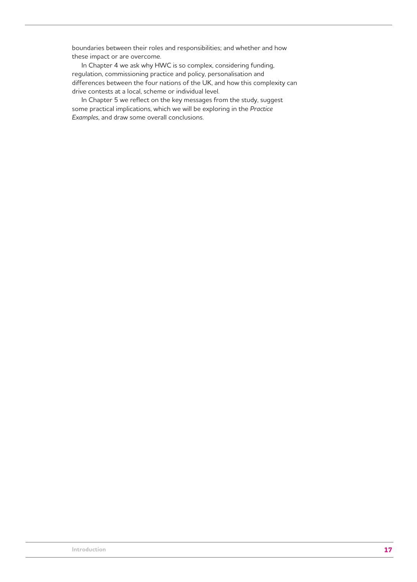boundaries between their roles and responsibilities; and whether and how these impact or are overcome.

In Chapter 4 we ask why HWC is so complex, considering funding, regulation, commissioning practice and policy, personalisation and differences between the four nations of the UK, and how this complexity can drive contests at a local, scheme or individual level.

In Chapter 5 we reflect on the key messages from the study, suggest some practical implications, which we will be exploring in the *Practice Examples*, and draw some overall conclusions.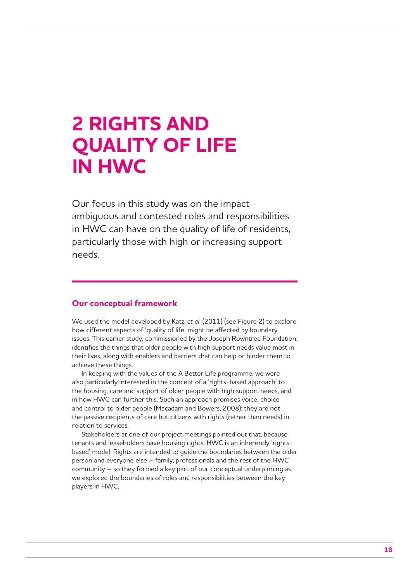## **2 RIGHTS AND QUALITY OF LIFE IN HWC**

Our focus in this study was on the impact ambiguous and contested roles and responsibilities in HWC can have on the quality of life of residents, particularly those with high or increasing support needs.

### **Our conceptual framework**

We used the model developed by Katz, *et al*. (2011) (see Figure 2) to explore how different aspects of 'quality of life' might be affected by boundary issues. This earlier study, commissioned by the Joseph Rowntree Foundation, identifies the things that older people with high support needs value most in their lives, along with enablers and barriers that can help or hinder them to achieve these things.

In keeping with the values of the A Better Life programme, we were also particularly interested in the concept of a 'rights-based approach' to the housing, care and support of older people with high support needs, and in how HWC can further this. Such an approach promises voice, choice and control to older people (Macadam and Bowers, 2008): they are not the passive recipients of care but citizens with rights (rather than needs) in relation to services.

Stakeholders at one of our project meetings pointed out that, because tenants and leaseholders have housing rights, HWC is an inherently 'rightsbased' model. Rights are intended to guide the boundaries between the older person and everyone else – family, professionals and the rest of the HWC community – so they formed a key part of our conceptual underpinning as we explored the boundaries of roles and responsibilities between the key players in HWC.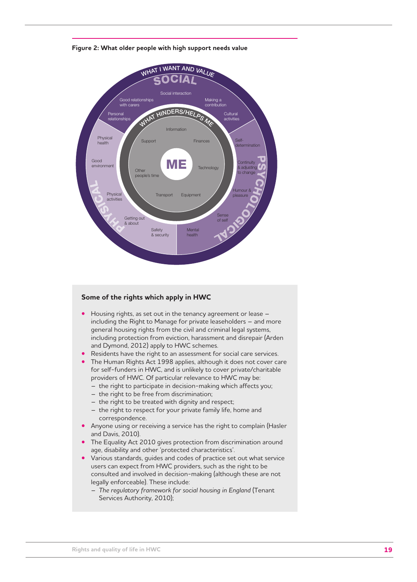

**Figure 2: What older people with high support needs value**

#### **Some of the rights which apply in HWC**

- Housing rights, as set out in the tenancy agreement or lease including the Right to Manage for private leaseholders – and more general housing rights from the civil and criminal legal systems, including protection from eviction, harassment and disrepair (Arden and Dymond, 2012) apply to HWC schemes.
- Residents have the right to an assessment for social care services.
- The Human Rights Act 1998 applies, although it does not cover care for self-funders in HWC, and is unlikely to cover private/charitable providers of HWC. Of particular relevance to HWC may be:
	- the right to participate in decision-making which affects you;
	- the right to be free from discrimination;
	- the right to be treated with dignity and respect;
	- the right to respect for your private family life, home and correspondence.
- Anyone using or receiving a service has the right to complain (Hasler and Davis, 2010).
- The Equality Act 2010 gives protection from discrimination around age, disability and other 'protected characteristics'.
- Various standards, guides and codes of practice set out what service users can expect from HWC providers, such as the right to be consulted and involved in decision-making (although these are not legally enforceable). These include:
	- *The regulatory framework for social housing in England* (Tenant Services Authority, 2010);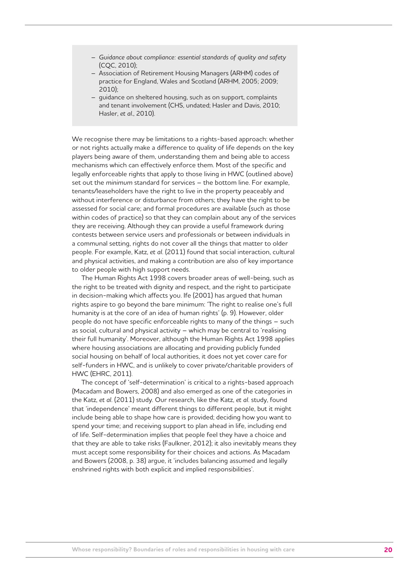- *Guidance about compliance: essential standards of quality and safety* (CQC, 2010);
- Association of Retirement Housing Managers (ARHM) codes of practice for England, Wales and Scotland (ARHM, 2005; 2009; 2010);
- guidance on sheltered housing, such as on support, complaints and tenant involvement (CHS, undated; Hasler and Davis, 2010; Hasler, *et al*., 2010).

We recognise there may be limitations to a rights-based approach: whether or not rights actually make a difference to quality of life depends on the key players being aware of them, understanding them and being able to access mechanisms which can effectively enforce them. Most of the specific and legally enforceable rights that apply to those living in HWC (outlined above) set out the *minimum* standard for services – the bottom line. For example, tenants/leaseholders have the right to live in the property peaceably and without interference or disturbance from others; they have the right to be assessed for social care; and formal procedures are available (such as those within codes of practice) so that they can complain about any of the services they are receiving. Although they can provide a useful framework during contests between service users and professionals or between individuals in a communal setting, rights do not cover all the things that matter to older people. For example, Katz, *et al*. (2011) found that social interaction, cultural and physical activities, and making a contribution are also of key importance to older people with high support needs.

The Human Rights Act 1998 covers broader areas of well-being, such as the right to be treated with dignity and respect, and the right to participate in decision-making which affects you. Ife (2001) has argued that human rights aspire to go beyond the bare minimum: 'The right to realise one's full humanity is at the core of an idea of human rights' (p. 9). However, older people do not have specific enforceable rights to many of the things – such as social, cultural and physical activity – which may be central to 'realising their full humanity'. Moreover, although the Human Rights Act 1998 applies where housing associations are allocating and providing publicly funded social housing on behalf of local authorities, it does not yet cover care for self-funders in HWC, and is unlikely to cover private/charitable providers of HWC (EHRC, 2011).

The concept of 'self-determination' is critical to a rights-based approach (Macadam and Bowers, 2008) and also emerged as one of the categories in the Katz, *et al*. (2011) study. Our research, like the Katz, *et al*. study, found that 'independence' meant different things to different people, but it might include being able to shape how care is provided; deciding how you want to spend your time; and receiving support to plan ahead in life, including end of life. Self-determination implies that people feel they have a choice and that they are able to take risks (Faulkner, 2012); it also inevitably means they must accept some responsibility for their choices and actions. As Macadam and Bowers (2008, p. 38) argue, it 'includes balancing assumed and legally enshrined rights with both explicit and implied responsibilities'.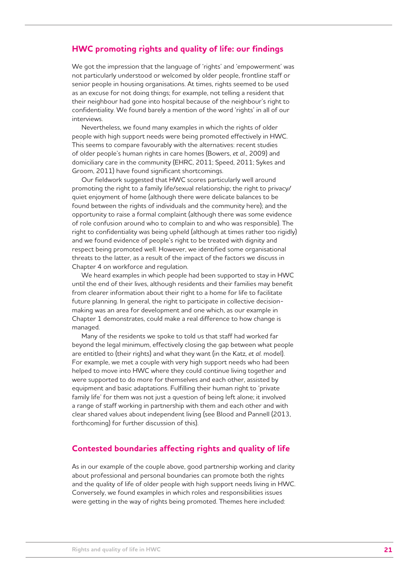## **HWC promoting rights and quality of life: our findings**

We got the impression that the language of 'rights' and 'empowerment' was not particularly understood or welcomed by older people, frontline staff or senior people in housing organisations. At times, rights seemed to be used as an excuse for not doing things; for example, not telling a resident that their neighbour had gone into hospital because of the neighbour's right to confidentiality. We found barely a mention of the word 'rights' in all of our interviews.

Nevertheless, we found many examples in which the rights of older people with high support needs were being promoted effectively in HWC. This seems to compare favourably with the alternatives: recent studies of older people's human rights in care homes (Bowers, *et al*., 2009) and domiciliary care in the community (EHRC, 2011; Speed, 2011; Sykes and Groom, 2011) have found significant shortcomings.

Our fieldwork suggested that HWC scores particularly well around promoting the right to a family life/sexual relationship; the right to privacy/ quiet enjoyment of home (although there were delicate balances to be found between the rights of individuals and the community here); and the opportunity to raise a formal complaint (although there was some evidence of role confusion around who to complain to and who was responsible). The right to confidentiality was being upheld (although at times rather too rigidly) and we found evidence of people's right to be treated with dignity and respect being promoted well. However, we identified some organisational threats to the latter, as a result of the impact of the factors we discuss in Chapter 4 on workforce and regulation.

We heard examples in which people had been supported to stay in HWC until the end of their lives, although residents and their families may benefit from clearer information about their right to a home for life to facilitate future planning. In general, the right to participate in collective decisionmaking was an area for development and one which, as our example in Chapter 1 demonstrates, could make a real difference to how change is managed.

Many of the residents we spoke to told us that staff had worked far beyond the legal minimum, effectively closing the gap between what people are entitled to (their rights) and what they want (in the Katz, *et al*. model). For example, we met a couple with very high support needs who had been helped to move into HWC where they could continue living together and were supported to do more for themselves and each other, assisted by equipment and basic adaptations. Fulfilling their human right to 'private family life' for them was not just a question of being left alone; it involved a range of staff working in partnership with them and each other and with clear shared values about independent living (see Blood and Pannell (2013, forthcoming) for further discussion of this).

## **Contested boundaries affecting rights and quality of life**

As in our example of the couple above, good partnership working and clarity about professional and personal boundaries can promote both the rights and the quality of life of older people with high support needs living in HWC. Conversely, we found examples in which roles and responsibilities issues were getting in the way of rights being promoted. Themes here included: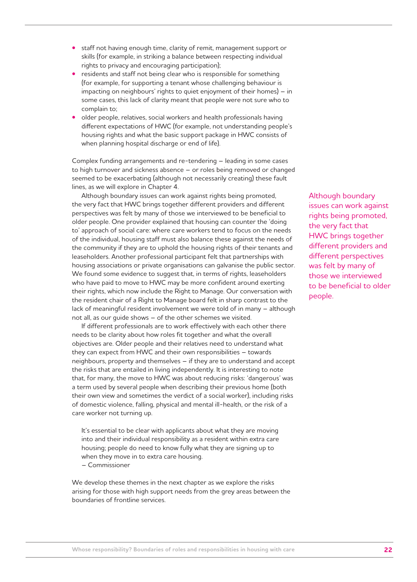- staff not having enough time, clarity of remit, management support or skills (for example, in striking a balance between respecting individual rights to privacy and encouraging participation);
- residents and staff not being clear who is responsible for something (for example, for supporting a tenant whose challenging behaviour is impacting on neighbours' rights to quiet enjoyment of their homes) – in some cases, this lack of clarity meant that people were not sure who to complain to;
- older people, relatives, social workers and health professionals having different expectations of HWC (for example, not understanding people's housing rights and what the basic support package in HWC consists of when planning hospital discharge or end of life).

Complex funding arrangements and re-tendering – leading in some cases to high turnover and sickness absence – or roles being removed or changed seemed to be exacerbating (although not necessarily creating) these fault lines, as we will explore in Chapter 4.

Although boundary issues can work against rights being promoted, the very fact that HWC brings together different providers and different perspectives was felt by many of those we interviewed to be beneficial to older people. One provider explained that housing can counter the 'doing to' approach of social care: where care workers tend to focus on the needs of the individual, housing staff must also balance these against the needs of the community if they are to uphold the housing rights of their tenants and leaseholders. Another professional participant felt that partnerships with housing associations or private organisations can galvanise the public sector. We found some evidence to suggest that, in terms of rights, leaseholders who have paid to move to HWC may be more confident around exerting their rights, which now include the Right to Manage. Our conversation with the resident chair of a Right to Manage board felt in sharp contrast to the lack of meaningful resident involvement we were told of in many – although not all, as our guide shows – of the other schemes we visited.

If different professionals are to work effectively with each other there needs to be clarity about how roles fit together and what the overall objectives are. Older people and their relatives need to understand what they can expect from HWC and their own responsibilities – towards neighbours, property and themselves – if they are to understand and accept the risks that are entailed in living independently. It is interesting to note that, for many, the move to HWC was about reducing risks: 'dangerous' was a term used by several people when describing their previous home (both their own view and sometimes the verdict of a social worker), including risks of domestic violence, falling, physical and mental ill-health, or the risk of a care worker not turning up.

It's essential to be clear with applicants about what they are moving into and their individual responsibility as a resident within extra care housing; people do need to know fully what they are signing up to when they move in to extra care housing.

– Commissioner

We develop these themes in the next chapter as we explore the risks arising for those with high support needs from the grey areas between the boundaries of frontline services.

Although boundary issues can work against rights being promoted, the very fact that HWC brings together different providers and different perspectives was felt by many of those we interviewed to be beneficial to older people.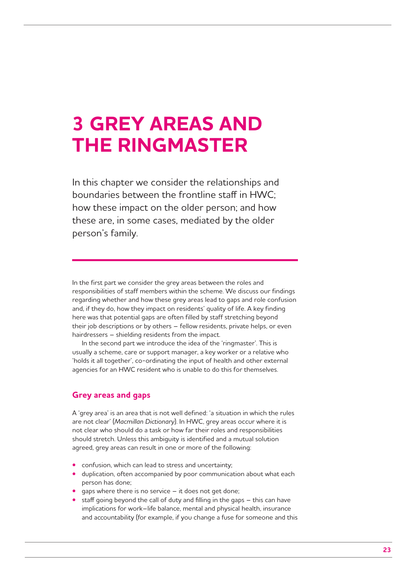## **3 GREY AREAS AND THE RINGMASTER**

In this chapter we consider the relationships and boundaries between the frontline staff in HWC; how these impact on the older person; and how these are, in some cases, mediated by the older person's family.

In the first part we consider the grey areas between the roles and responsibilities of staff members within the scheme. We discuss our findings regarding whether and how these grey areas lead to gaps and role confusion and, if they do, how they impact on residents' quality of life. A key finding here was that potential gaps are often filled by staff stretching beyond their job descriptions or by others – fellow residents, private helps, or even hairdressers – shielding residents from the impact.

In the second part we introduce the idea of the 'ringmaster'. This is usually a scheme, care or support manager, a key worker or a relative who 'holds it all together', co-ordinating the input of health and other external agencies for an HWC resident who is unable to do this for themselves.

## **Grey areas and gaps**

A 'grey area' is an area that is not well defined: 'a situation in which the rules are not clear' (*Macmillan Dictionary*). In HWC, grey areas occur where it is not clear who should do a task or how far their roles and responsibilities should stretch. Unless this ambiguity is identified and a mutual solution agreed, grey areas can result in one or more of the following:

- confusion, which can lead to stress and uncertainty;
- duplication, often accompanied by poor communication about what each person has done;
- gaps where there is no service it does not get done;
- staff going beyond the call of duty and filling in the gaps this can have implications for work–life balance, mental and physical health, insurance and accountability (for example, if you change a fuse for someone and this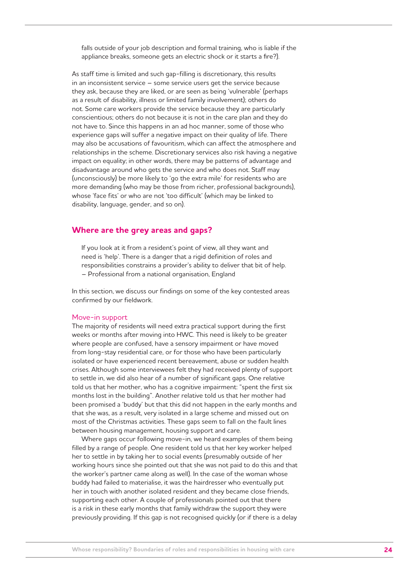falls outside of your job description and formal training, who is liable if the appliance breaks, someone gets an electric shock or it starts a fire?).

As staff time is limited and such gap-filling is discretionary, this results in an inconsistent service – some service users get the service because they ask, because they are liked, or are seen as being 'vulnerable' (perhaps as a result of disability, illness or limited family involvement); others do not. Some care workers provide the service because they are particularly conscientious; others do not because it is not in the care plan and they do not have to. Since this happens in an ad hoc manner, some of those who experience gaps will suffer a negative impact on their quality of life. There may also be accusations of favouritism, which can affect the atmosphere and relationships in the scheme. Discretionary services also risk having a negative impact on equality; in other words, there may be patterns of advantage and disadvantage around who gets the service and who does not. Staff may (unconsciously) be more likely to 'go the extra mile' for residents who are more demanding (who may be those from richer, professional backgrounds), whose 'face fits' or who are not 'too difficult' (which may be linked to disability, language, gender, and so on).

### **Where are the grey areas and gaps?**

If you look at it from a resident's point of view, all they want and need is 'help'. There is a danger that a rigid definition of roles and responsibilities constrains a provider's ability to deliver that bit of help. – Professional from a national organisation, England

In this section, we discuss our findings on some of the key contested areas confirmed by our fieldwork.

#### Move-in support

The majority of residents will need extra practical support during the first weeks or months after moving into HWC. This need is likely to be greater where people are confused, have a sensory impairment or have moved from long-stay residential care, or for those who have been particularly isolated or have experienced recent bereavement, abuse or sudden health crises. Although some interviewees felt they had received plenty of support to settle in, we did also hear of a number of significant gaps. One relative told us that her mother, who has a cognitive impairment: "spent the first six months lost in the building". Another relative told us that her mother had been promised a 'buddy' but that this did not happen in the early months and that she was, as a result, very isolated in a large scheme and missed out on most of the Christmas activities. These gaps seem to fall on the fault lines between housing management, housing support and care.

Where gaps occur following move-in, we heard examples of them being filled by a range of people. One resident told us that her key worker helped her to settle in by taking her to social events (presumably outside of her working hours since she pointed out that she was not paid to do this and that the worker's partner came along as well). In the case of the woman whose buddy had failed to materialise, it was the hairdresser who eventually put her in touch with another isolated resident and they became close friends, supporting each other. A couple of professionals pointed out that there is a risk in these early months that family withdraw the support they were previously providing. If this gap is not recognised quickly (or if there is a delay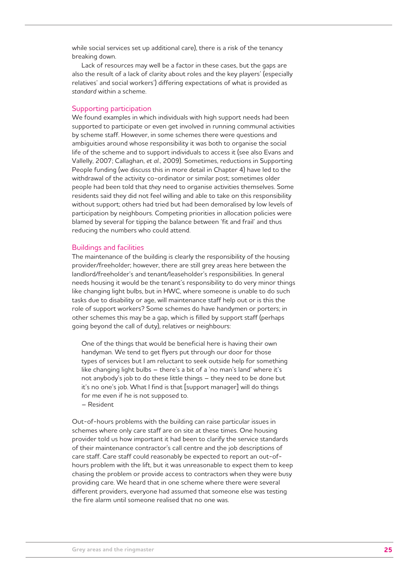while social services set up additional care), there is a risk of the tenancy breaking down.

Lack of resources may well be a factor in these cases, but the gaps are also the result of a lack of clarity about roles and the key players' (especially relatives' and social workers') differing expectations of what is provided as *standard* within a scheme.

#### Supporting participation

We found examples in which individuals with high support needs had been supported to participate or even get involved in running communal activities by scheme staff. However, in some schemes there were questions and ambiguities around whose responsibility it was both to organise the social life of the scheme and to support individuals to access it (see also Evans and Vallelly, 2007; Callaghan, *et al*., 2009). Sometimes, reductions in Supporting People funding (we discuss this in more detail in Chapter 4) have led to the withdrawal of the activity co-ordinator or similar post; sometimes older people had been told that *they* need to organise activities themselves. Some residents said they did not feel willing and able to take on this responsibility without support; others had tried but had been demoralised by low levels of participation by neighbours. Competing priorities in allocation policies were blamed by several for tipping the balance between 'fit and frail' and thus reducing the numbers who could attend.

#### Buildings and facilities

The maintenance of the building is clearly the responsibility of the housing provider/freeholder; however, there are still grey areas here between the landlord/freeholder's and tenant/leaseholder's responsibilities. In general needs housing it would be the tenant's responsibility to do very minor things like changing light bulbs, but in HWC, where someone is unable to do such tasks due to disability or age, will maintenance staff help out or is this the role of support workers? Some schemes do have handymen or porters; in other schemes this may be a gap, which is filled by support staff (perhaps going beyond the call of duty), relatives or neighbours:

One of the things that would be beneficial here is having their own handyman. We tend to get flyers put through our door for those types of services but I am reluctant to seek outside help for something like changing light bulbs – there's a bit of a 'no man's land' where it's not anybody's job to do these little things – they need to be done but it's no one's job. What I find is that [support manager] will do things for me even if he is not supposed to. – Resident

Out-of-hours problems with the building can raise particular issues in schemes where only care staff are on site at these times. One housing provider told us how important it had been to clarify the service standards of their maintenance contractor's call centre and the job descriptions of care staff. Care staff could reasonably be expected to report an out-ofhours problem with the lift, but it was unreasonable to expect them to keep chasing the problem or provide access to contractors when they were busy providing care. We heard that in one scheme where there were several different providers, everyone had assumed that someone else was testing the fire alarm until someone realised that no one was.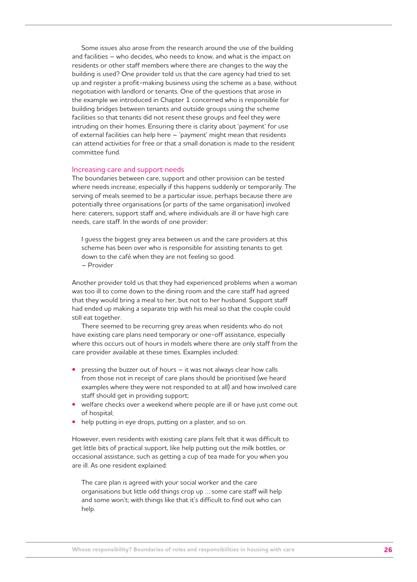Some issues also arose from the research around the use of the building and facilities – who decides, who needs to know, and what is the impact on residents or other staff members where there are changes to the way the building is used? One provider told us that the care agency had tried to set up and register a profit-making business using the scheme as a base, without negotiation with landlord or tenants. One of the questions that arose in the example we introduced in Chapter 1 concerned who is responsible for building bridges between tenants and outside groups using the scheme facilities so that tenants did not resent these groups and feel they were intruding on their homes. Ensuring there is clarity about 'payment' for use of external facilities can help here – 'payment' might mean that residents can attend activities for free or that a small donation is made to the resident committee fund.

#### Increasing care and support needs

The boundaries between care, support and other provision can be tested where needs increase, especially if this happens suddenly or temporarily. The serving of meals seemed to be a particular issue, perhaps because there are potentially three organisations (or parts of the same organisation) involved here: caterers, support staff and, where individuals are ill or have high care needs, care staff. In the words of one provider:

I guess the biggest grey area between us and the care providers at this scheme has been over who is responsible for assisting tenants to get down to the café when they are not feeling so good. – Provider

Another provider told us that they had experienced problems when a woman was too ill to come down to the dining room and the care staff had agreed that they would bring a meal to her, but not to her husband. Support staff had ended up making a separate trip with his meal so that the couple could still eat together.

There seemed to be recurring grey areas when residents who do not have existing care plans need temporary or one-off assistance, especially where this occurs out of hours in models where there are only staff from the care provider available at these times. Examples included:

- pressing the buzzer out of hours it was not always clear how calls from those not in receipt of care plans should be prioritised (we heard examples where they were not responded to at all) and how involved care staff should get in providing support;
- welfare checks over a weekend where people are ill or have just come out of hospital;
- help putting in eye drops, putting on a plaster, and so on.

However, even residents with existing care plans felt that it was difficult to get little bits of practical support, like help putting out the milk bottles, or occasional assistance, such as getting a cup of tea made for you when you are ill. As one resident explained:

The care plan is agreed with your social worker and the care organisations but little odd things crop up … some care staff will help and some won't; with things like that it's difficult to find out who can help.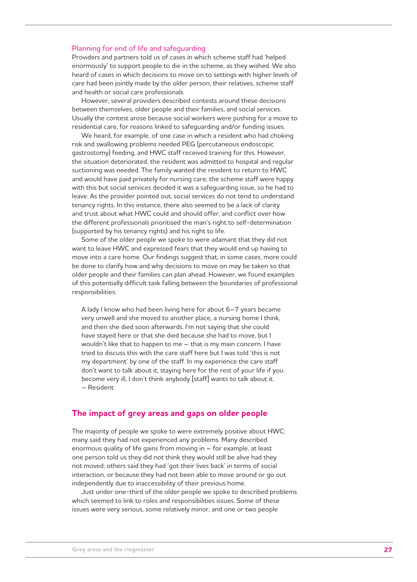#### Planning for end of life and safeguarding

Providers and partners told us of cases in which scheme staff had 'helped enormously' to support people to die in the scheme, as they wished. We also heard of cases in which decisions to move on to settings with higher levels of care had been jointly made by the older person, their relatives, scheme staff and health or social care professionals.

However, several providers described contests around these decisions between themselves, older people and their families, and social services. Usually the contest arose because social workers were pushing for a move to residential care, for reasons linked to safeguarding and/or funding issues.

We heard, for example, of one case in which a resident who had choking risk and swallowing problems needed PEG (percutaneous endoscopic gastrostomy) feeding, and HWC staff received training for this. However, the situation deteriorated, the resident was admitted to hospital and regular suctioning was needed. The family wanted the resident to return to HWC and would have paid privately for nursing care; the scheme staff were happy with this but social services decided it was a safeguarding issue, so he had to leave. As the provider pointed out, social services do not tend to understand tenancy rights. In this instance, there also seemed to be a lack of clarity and trust about what HWC could and should offer, and conflict over how the different professionals prioritised the man's right to self-determination (supported by his tenancy rights) and his right to life.

Some of the older people we spoke to were adamant that they did not want to leave HWC and expressed fears that they would end up having to move into a care home. Our findings suggest that, in some cases, more could be done to clarify how and why decisions to move on may be taken so that older people and their families can plan ahead. However, we found examples of this potentially difficult task falling between the boundaries of professional responsibilities:

A lady I know who had been living here for about 6–7 years became very unwell and she moved to another place, a nursing home I think, and then she died soon afterwards. I'm not saying that she could have stayed here or that she died because she had to move, but I wouldn't like that to happen to me – that is my main concern. I have tried to discuss this with the care staff here but I was told 'this is not my department' by one of the staff. In my experience the care staff don't want to talk about it, staying here for the rest of your life if you become very ill, I don't think anybody [staff] wants to talk about it. – Resident

#### **The impact of grey areas and gaps on older people**

The majority of people we spoke to were extremely positive about HWC: many said they had not experienced any problems. Many described enormous quality of life gains from moving in – for example, at least one person told us they did not think they would still be alive had they not moved; others said they had 'got their lives back' in terms of social interaction, or because they had not been able to move around or go out independently due to inaccessibility of their previous home.

Just under one-third of the older people we spoke to described problems which seemed to link to roles and responsibilities issues. Some of these issues were very serious, some relatively minor, and one or two people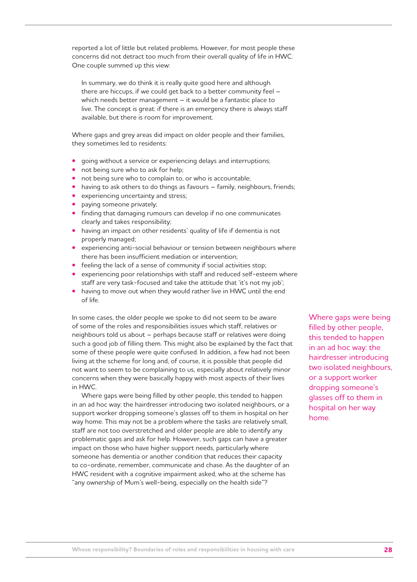reported a lot of little but related problems. However, for most people these concerns did not detract too much from their overall quality of life in HWC. One couple summed up this view:

In summary, we do think it is really quite good here and although there are hiccups, if we could get back to a better community feel – which needs better management – it would be a fantastic place to live. The concept is great: if there is an emergency there is always staff available, but there is room for improvement.

Where gaps and grey areas did impact on older people and their families, they sometimes led to residents:

- going without a service or experiencing delays and interruptions;
- not being sure who to ask for help;
- not being sure who to complain to, or who is accountable;
- having to ask others to do things as favours family, neighbours, friends;
- experiencing uncertainty and stress;
- paying someone privately;
- finding that damaging rumours can develop if no one communicates clearly and takes responsibility;
- having an impact on other residents' quality of life if dementia is not properly managed;
- experiencing anti-social behaviour or tension between neighbours where there has been insufficient mediation or intervention;
- feeling the lack of a sense of community if social activities stop;
- experiencing poor relationships with staff and reduced self-esteem where staff are very task-focused and take the attitude that 'it's not my job';
- having to move out when they would rather live in HWC until the end of life.

In some cases, the older people we spoke to did not seem to be aware of some of the roles and responsibilities issues which staff, relatives or neighbours told us about – perhaps because staff or relatives were doing such a good job of filling them. This might also be explained by the fact that some of these people were quite confused. In addition, a few had not been living at the scheme for long and, of course, it is possible that people did not want to seem to be complaining to us, especially about relatively minor concerns when they were basically happy with most aspects of their lives in HWC.

Where gaps were being filled by other people, this tended to happen in an ad hoc way: the hairdresser introducing two isolated neighbours, or a support worker dropping someone's glasses off to them in hospital on her way home. This may not be a problem where the tasks are relatively small, staff are not too overstretched and older people are able to identify any problematic gaps and ask for help. However, such gaps can have a greater impact on those who have higher support needs, particularly where someone has dementia or another condition that reduces their capacity to co-ordinate, remember, communicate and chase. As the daughter of an HWC resident with a cognitive impairment asked, who at the scheme has "any *ownership* of Mum's well-being, especially on the health side"?

Where gaps were being filled by other people, this tended to happen in an ad hoc way: the hairdresser introducing two isolated neighbours, or a support worker dropping someone's glasses off to them in hospital on her way home.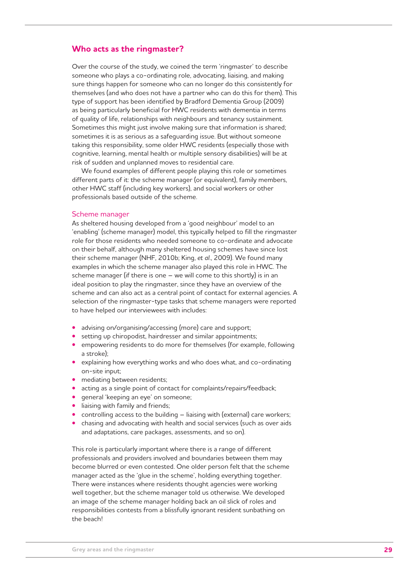### **Who acts as the ringmaster?**

Over the course of the study, we coined the term 'ringmaster' to describe someone who plays a co-ordinating role, advocating, liaising, and making sure things happen for someone who can no longer do this consistently for themselves (and who does not have a partner who can do this for them). This type of support has been identified by Bradford Dementia Group (2009) as being particularly beneficial for HWC residents with dementia in terms of quality of life, relationships with neighbours and tenancy sustainment. Sometimes this might just involve making sure that information is shared; sometimes it is as serious as a safeguarding issue. But without someone taking this responsibility, some older HWC residents (especially those with cognitive, learning, mental health or multiple sensory disabilities) will be at risk of sudden and unplanned moves to residential care.

We found examples of different people playing this role or sometimes different parts of it: the scheme manager (or equivalent), family members, other HWC staff (including key workers), and social workers or other professionals based outside of the scheme.

#### Scheme manager

As sheltered housing developed from a 'good neighbour' model to an 'enabling' (scheme manager) model, this typically helped to fill the ringmaster role for those residents who needed someone to co-ordinate and advocate on their behalf, although many sheltered housing schemes have since lost their scheme manager (NHF, 2010b; King, *et al*., 2009). We found many examples in which the scheme manager also played this role in HWC. The scheme manager (if there is one – we will come to this shortly) is in an ideal position to play the ringmaster, since they have an overview of the scheme and can also act as a central point of contact for external agencies. A selection of the ringmaster-type tasks that scheme managers were reported to have helped our interviewees with includes:

- advising on/organising/accessing (more) care and support;
- setting up chiropodist, hairdresser and similar appointments;
- empowering residents to do more for themselves (for example, following a stroke);
- explaining how everything works and who does what, and co-ordinating on-site input;
- mediating between residents;
- acting as a single point of contact for complaints/repairs/feedback;
- general 'keeping an eye' on someone;
- liaising with family and friends;
- controlling access to the building liaising with (external) care workers;
- chasing and advocating with health and social services (such as over aids and adaptations, care packages, assessments, and so on).

This role is particularly important where there is a range of different professionals and providers involved and boundaries between them may become blurred or even contested. One older person felt that the scheme manager acted as the 'glue in the scheme', holding everything together. There were instances where residents thought agencies were working well together, but the scheme manager told us otherwise. We developed an image of the scheme manager holding back an oil slick of roles and responsibilities contests from a blissfully ignorant resident sunbathing on the beach!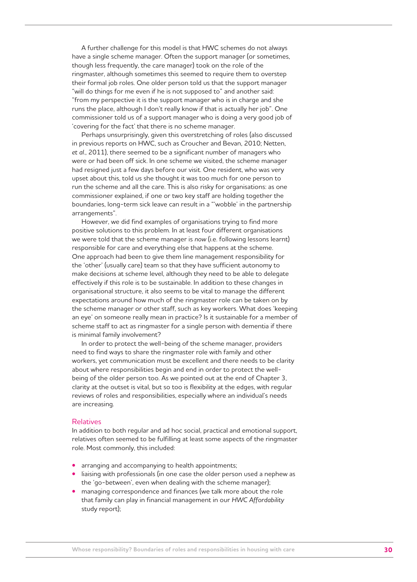A further challenge for this model is that HWC schemes do not always have a single scheme manager. Often the support manager (or sometimes, though less frequently, the care manager) took on the role of the ringmaster, although sometimes this seemed to require them to overstep their formal job roles. One older person told us that the support manager "will do things for me even if he is not supposed to" and another said: "from my perspective it is the support manager who is in charge and she runs the place, although I don't really know if that is actually her job". One commissioner told us of a support manager who is doing a very good job of 'covering for the fact' that there is no scheme manager.

Perhaps unsurprisingly, given this overstretching of roles (also discussed in previous reports on HWC, such as Croucher and Bevan, 2010; Netten, *et al*., 2011), there seemed to be a significant number of managers who were or had been off sick. In one scheme we visited, the scheme manager had resigned just a few days before our visit. One resident, who was very upset about this, told us she thought it was too much for one person to run the scheme and all the care. This is also risky for organisations: as one commissioner explained, if one or two key staff are holding together the boundaries, long-term sick leave can result in a "'wobble' in the partnership arrangements".

However, we did find examples of organisations trying to find more positive solutions to this problem. In at least four different organisations we were told that the scheme manager is *now* (i.e. following lessons learnt) responsible for care and everything else that happens at the scheme. One approach had been to give them line management responsibility for the 'other' (usually care) team so that they have sufficient autonomy to make decisions at scheme level, although they need to be able to delegate effectively if this role is to be sustainable. In addition to these changes in organisational structure, it also seems to be vital to manage the different expectations around how much of the ringmaster role can be taken on by the scheme manager or other staff, such as key workers. What does 'keeping an eye' on someone really mean in practice? Is it sustainable for a member of scheme staff to act as ringmaster for a single person with dementia if there is minimal family involvement?

In order to protect the well-being of the scheme manager, providers need to find ways to share the ringmaster role with family and other workers, yet communication must be excellent and there needs to be clarity about where responsibilities begin and end in order to protect the wellbeing of the older person too. As we pointed out at the end of Chapter 3, clarity at the outset is vital, but so too is flexibility at the edges, with regular reviews of roles and responsibilities, especially where an individual's needs are increasing.

#### Relatives

In addition to both regular and ad hoc social, practical and emotional support, relatives often seemed to be fulfilling at least some aspects of the ringmaster role. Most commonly, this included:

- arranging and accompanying to health appointments;
- liaising with professionals (in one case the older person used a nephew as the 'go-between', even when dealing with the scheme manager);
- managing correspondence and finances (we talk more about the role that family can play in financial management in our *HWC Affordability* study report);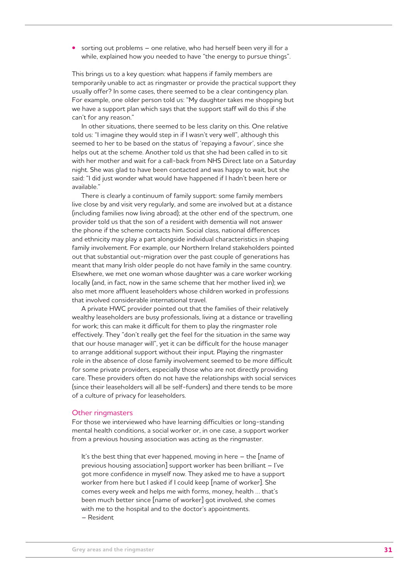**•** sorting out problems – one relative, who had herself been very ill for a while, explained how you needed to have "the energy to pursue things".

This brings us to a key question: what happens if family members are temporarily unable to act as ringmaster or provide the practical support they usually offer? In some cases, there seemed to be a clear contingency plan. For example, one older person told us: "My daughter takes me shopping but we have a support plan which says that the support staff will do this if she can't for any reason."

In other situations, there seemed to be less clarity on this. One relative told us: "I imagine they would step in if I wasn't very well", although this seemed to her to be based on the status of 'repaying a favour', since she helps out at the scheme. Another told us that she had been called in to sit with her mother and wait for a call-back from NHS Direct late on a Saturday night. She was glad to have been contacted and was happy to wait, but she said: "I did just wonder what would have happened if I hadn't been here or available."

There is clearly a continuum of family support: some family members live close by and visit very regularly, and some are involved but at a distance (including families now living abroad); at the other end of the spectrum, one provider told us that the son of a resident with dementia will not answer the phone if the scheme contacts him. Social class, national differences and ethnicity may play a part alongside individual characteristics in shaping family involvement. For example, our Northern Ireland stakeholders pointed out that substantial out-migration over the past couple of generations has meant that many Irish older people do not have family in the same country. Elsewhere, we met one woman whose daughter was a care worker working locally (and, in fact, now in the same scheme that her mother lived in); we also met more affluent leaseholders whose children worked in professions that involved considerable international travel.

A private HWC provider pointed out that the families of their relatively wealthy leaseholders are busy professionals, living at a distance or travelling for work; this can make it difficult for them to play the ringmaster role effectively. They "don't really get the feel for the situation in the same way that our house manager will", yet it can be difficult for the house manager to arrange additional support without their input. Playing the ringmaster role in the absence of close family involvement seemed to be more difficult for some private providers, especially those who are not directly providing care. These providers often do not have the relationships with social services (since their leaseholders will all be self-funders) and there tends to be more of a culture of privacy for leaseholders.

#### Other ringmasters

For those we interviewed who have learning difficulties or long-standing mental health conditions, a social worker or, in one case, a support worker from a previous housing association was acting as the ringmaster.

It's the best thing that ever happened, moving in here - the [name of previous housing association] support worker has been brilliant – I've got more confidence in myself now. They asked me to have a support worker from here but I asked if I could keep [name of worker]. She comes every week and helps me with forms, money, health … that's been much better since [name of worker] got involved, she comes with me to the hospital and to the doctor's appointments. – Resident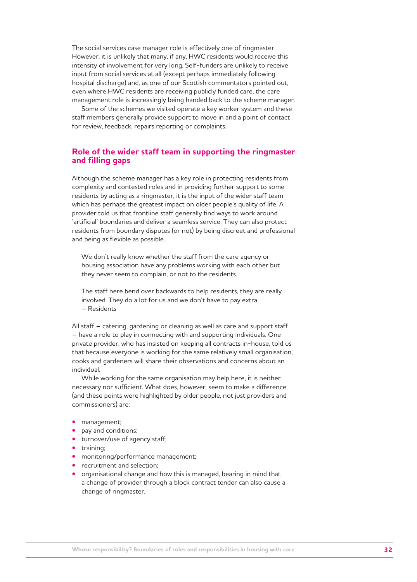The social services case manager role is effectively one of ringmaster. However, it is unlikely that many, if any, HWC residents would receive this intensity of involvement for very long. Self-funders are unlikely to receive input from social services at all (except perhaps immediately following hospital discharge) and, as one of our Scottish commentators pointed out, even where HWC residents are receiving publicly funded care, the care management role is increasingly being handed back to the scheme manager.

Some of the schemes we visited operate a key worker system and these staff members generally provide support to move in and a point of contact for review, feedback, repairs reporting or complaints.

## **Role of the wider staff team in supporting the ringmaster and filling gaps**

Although the scheme manager has a key role in protecting residents from complexity and contested roles and in providing further support to some residents by acting as a ringmaster, it is the input of the wider staff team which has perhaps the greatest impact on older people's quality of life. A provider told us that frontline staff generally find ways to work around 'artificial' boundaries and deliver a seamless service. They can also protect residents from boundary disputes (or not) by being discreet and professional and being as flexible as possible.

We don't really know whether the staff from the care agency or housing association have any problems working with each other but they never seem to complain, or not to the residents.

The staff here bend over backwards to help residents, they are really involved. They do a lot for us and we don't have to pay extra. – Residents

All staff – catering, gardening or cleaning as well as care and support staff – have a role to play in connecting with and supporting individuals. One private provider, who has insisted on keeping all contracts in-house, told us that because everyone is working for the same relatively small organisation, cooks and gardeners will share their observations and concerns about an individual.

While working for the same organisation may help here, it is neither necessary nor sufficient. What does, however, seem to make a difference (and these points were highlighted by older people, not just providers and commissioners) are:

- management;
- pay and conditions;
- turnover/use of agency staff;
- training;
- monitoring/performance management;
- recruitment and selection;
- organisational change and how this is managed, bearing in mind that a change of provider through a block contract tender can also cause a change of ringmaster.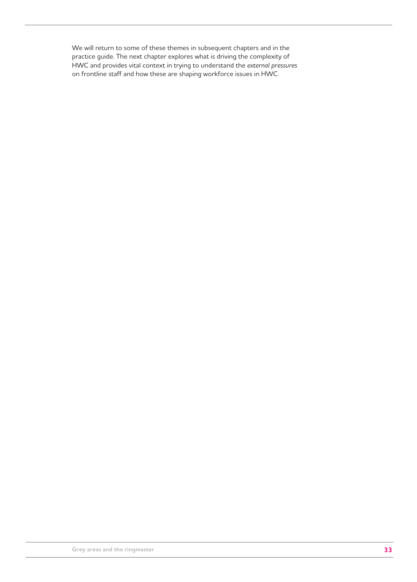We will return to some of these themes in subsequent chapters and in the practice guide. The next chapter explores what is driving the complexity of HWC and provides vital context in trying to understand the *external pressures* on frontline staff and how these are shaping workforce issues in HWC.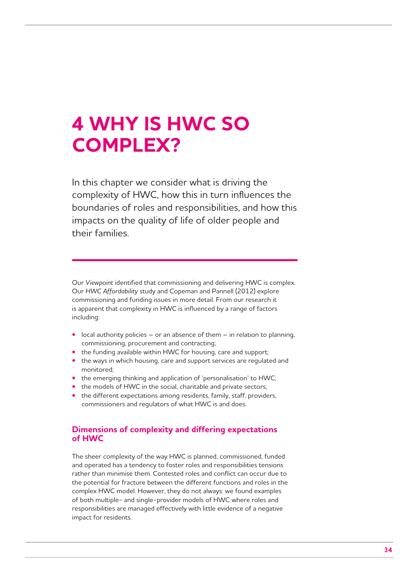## **4 WHY IS HWC SO COMPLEX?**

In this chapter we consider what is driving the complexity of HWC, how this in turn influences the boundaries of roles and responsibilities, and how this impacts on the quality of life of older people and their families.

Our *Viewpoint* identified that commissioning and delivering HWC is complex. Our *HWC Affordability* study and Copeman and Pannell (2012) explore commissioning and funding issues in more detail. From our research it is apparent that complexity in HWC is influenced by a range of factors including:

- local authority policies or an absence of them in relation to planning, commissioning, procurement and contracting;
- the funding available within HWC for housing, care and support;
- the ways in which housing, care and support services are regulated and monitored;
- the emerging thinking and application of 'personalisation' to HWC;
- the models of HWC in the social, charitable and private sectors;
- the different expectations among residents, family, staff, providers, commissioners and regulators of what HWC is and does.

## **Dimensions of complexity and differing expectations of HWC**

The sheer complexity of the way HWC is planned, commissioned, funded and operated has a tendency to foster roles and responsibilities tensions rather than minimise them. Contested roles and conflict can occur due to the potential for fracture between the different functions and roles in the complex HWC model. However, they do not always: we found examples of both multiple- and single-provider models of HWC where roles and responsibilities are managed effectively with little evidence of a negative impact for residents.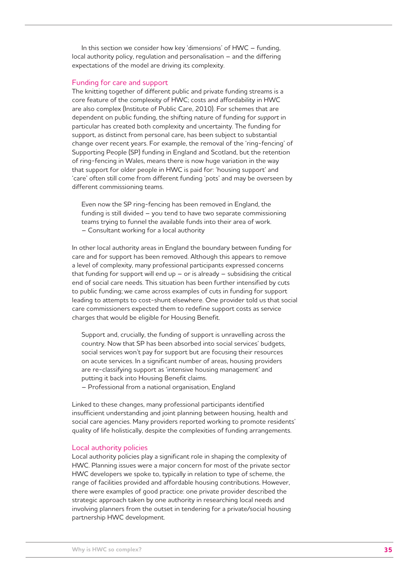In this section we consider how key 'dimensions' of HWC – funding, local authority policy, regulation and personalisation – and the differing expectations of the model are driving its complexity.

#### Funding for care and support

The knitting together of different public and private funding streams is a core feature of the complexity of HWC; costs and affordability in HWC are also complex (Institute of Public Care, 2010). For schemes that are dependent on public funding, the shifting nature of funding for *support* in particular has created both complexity and uncertainty. The funding for support, as distinct from personal care, has been subject to substantial change over recent years. For example, the removal of the 'ring-fencing' of Supporting People (SP) funding in England and Scotland, but the retention of ring-fencing in Wales, means there is now huge variation in the way that support for older people in HWC is paid for: 'housing support' and 'care' often still come from different funding 'pots' and may be overseen by different commissioning teams.

Even now the SP ring-fencing has been removed in England, the funding is still divided – you tend to have two separate commissioning teams trying to funnel the available funds into their area of work. – Consultant working for a local authority

In other local authority areas in England the boundary between funding for care and for support has been removed. Although this appears to remove a level of complexity, many professional participants expressed concerns that funding for support will end  $up - or$  is already  $-$  subsidising the critical end of social care needs. This situation has been further intensified by cuts to public funding; we came across examples of cuts in funding for support leading to attempts to cost-shunt elsewhere. One provider told us that social care commissioners expected them to redefine support costs as service charges that would be eligible for Housing Benefit.

Support and, crucially, the funding of support is unravelling across the country. Now that SP has been absorbed into social services' budgets, social services won't pay for support but are focusing their resources on acute services. In a significant number of areas, housing providers are re-classifying support as 'intensive housing management' and putting it back into Housing Benefit claims.

– Professional from a national organisation, England

Linked to these changes, many professional participants identified insufficient understanding and joint planning between housing, health and social care agencies. Many providers reported working to promote residents' quality of life holistically, despite the complexities of funding arrangements.

#### Local authority policies

Local authority policies play a significant role in shaping the complexity of HWC. Planning issues were a major concern for most of the private sector HWC developers we spoke to, typically in relation to type of scheme, the range of facilities provided and affordable housing contributions. However, there were examples of good practice: one private provider described the strategic approach taken by one authority in researching local needs and involving planners from the outset in tendering for a private/social housing partnership HWC development.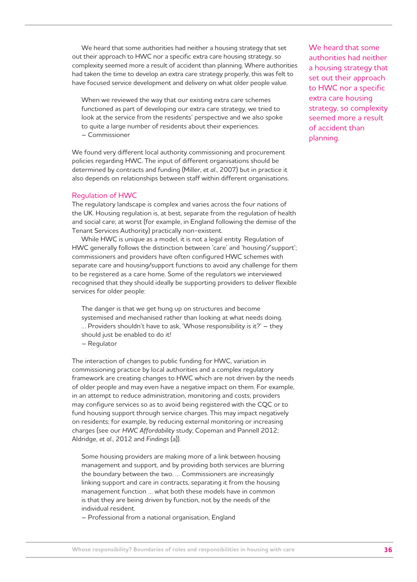We heard that some authorities had neither a housing strategy that set out their approach to HWC nor a specific extra care housing strategy, so complexity seemed more a result of accident than planning. Where authorities had taken the time to develop an extra care strategy properly, this was felt to have focused service development and delivery on what older people value.

When we reviewed the way that our existing extra care schemes functioned as part of developing our extra care strategy, we tried to look at the service from the residents' perspective and we also spoke to quite a large number of residents about their experiences. – Commissioner

We found very different local authority commissioning and procurement policies regarding HWC. The input of different organisations should be determined by contracts and funding (Miller, *et al*., 2007) but in practice it also depends on relationships between staff within different organisations.

#### Regulation of HWC

The regulatory landscape is complex and varies across the four nations of the UK. Housing regulation is, at best, separate from the regulation of health and social care; at worst (for example, in England following the demise of the Tenant Services Authority) practically non-existent.

While HWC is unique as a model, it is not a legal entity. Regulation of HWC generally follows the distinction between 'care' and 'housing'/'support'; commissioners and providers have often configured HWC schemes with separate care and housing/support functions to avoid any challenge for them to be registered as a care home. Some of the regulators we interviewed recognised that they should ideally be supporting providers to deliver flexible services for older people:

The danger is that we get hung up on structures and become systemised and mechanised rather than looking at what needs doing. … Providers shouldn't have to ask, 'Whose responsibility is it?' – they should just be enabled to do it!

– Regulator

The interaction of changes to public funding for HWC, variation in commissioning practice by local authorities and a complex regulatory framework are creating changes to HWC which are not driven by the needs of older people and may even have a negative impact on them. For example, in an attempt to reduce administration, monitoring and costs, providers may configure services so as to avoid being registered with the CQC or to fund housing support through service charges. This may impact negatively on residents; for example, by reducing external monitoring or increasing charges (see our *HWC Affordability* study; Copeman and Pannell 2012; Aldridge, *et al*., 2012 and *Findings* (a)).

Some housing providers are making more of a link between housing management and support, and by providing both services are blurring the boundary between the two. … Commissioners are increasingly linking support and care in contracts, separating it from the housing management function … what both these models have in common is that they are being driven by function, not by the needs of the individual resident.

– Professional from a national organisation, England

We heard that some authorities had neither a housing strategy that set out their approach to HWC nor a specific extra care housing strategy, so complexity seemed more a result of accident than planning.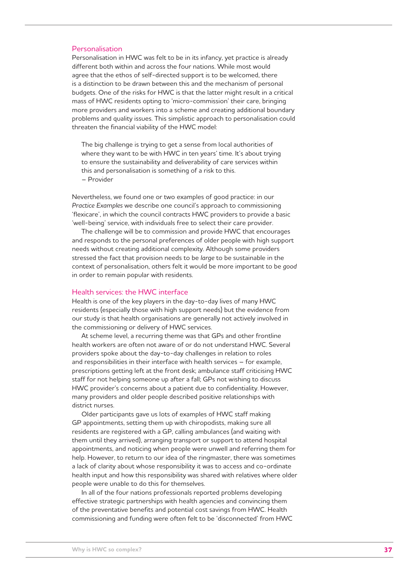#### Personalisation

Personalisation in HWC was felt to be in its infancy, yet practice is already different both within and across the four nations. While most would agree that the ethos of self-directed support is to be welcomed, there is a distinction to be drawn between this and the mechanism of personal budgets. One of the risks for HWC is that the latter might result in a critical mass of HWC residents opting to 'micro-commission' their care, bringing more providers and workers into a scheme and creating additional boundary problems and quality issues. This simplistic approach to personalisation could threaten the financial viability of the HWC model:

The big challenge is trying to get a sense from local authorities of where they want to be with HWC in ten years' time. It's about trying to ensure the sustainability and deliverability of care services within this and personalisation is something of a risk to this. – Provider

Nevertheless, we found one or two examples of good practice: in our *Practice Examples* we describe one council's approach to commissioning 'flexicare', in which the council contracts HWC providers to provide a basic 'well-being' service, with individuals free to select their care provider.

The challenge will be to commission and provide HWC that encourages and responds to the personal preferences of older people with high support needs without creating additional complexity. Although some providers stressed the fact that provision needs to be *large* to be sustainable in the context of personalisation, others felt it would be more important to be *good* in order to remain popular with residents.

#### Health services: the HWC interface

Health is one of the key players in the day-to-day lives of many HWC residents (especially those with high support needs) but the evidence from our study is that health organisations are generally not actively involved in the commissioning or delivery of HWC services.

At scheme level, a recurring theme was that GPs and other frontline health workers are often not aware of or do not understand HWC. Several providers spoke about the day-to-day challenges in relation to roles and responsibilities in their interface with health services – for example, prescriptions getting left at the front desk; ambulance staff criticising HWC staff for not helping someone up after a fall; GPs not wishing to discuss HWC provider's concerns about a patient due to confidentiality. However, many providers and older people described positive relationships with district nurses.

Older participants gave us lots of examples of HWC staff making GP appointments, setting them up with chiropodists, making sure all residents are registered with a GP, calling ambulances (and waiting with them until they arrived), arranging transport or support to attend hospital appointments, and noticing when people were unwell and referring them for help. However, to return to our idea of the ringmaster, there was sometimes a lack of clarity about whose responsibility it was to access and co-ordinate health input and how this responsibility was shared with relatives where older people were unable to do this for themselves.

In all of the four nations professionals reported problems developing effective strategic partnerships with health agencies and convincing them of the preventative benefits and potential cost savings from HWC. Health commissioning and funding were often felt to be 'disconnected' from HWC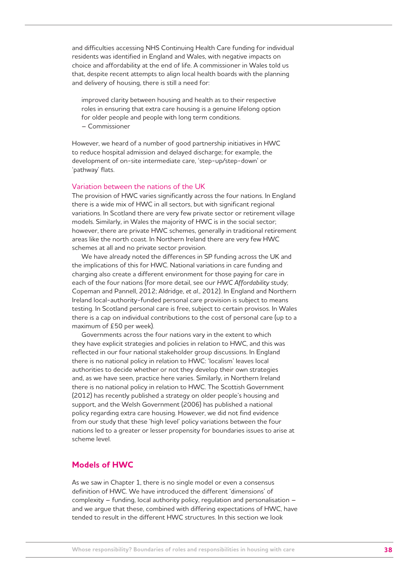and difficulties accessing NHS Continuing Health Care funding for individual residents was identified in England and Wales, with negative impacts on choice and affordability at the end of life. A commissioner in Wales told us that, despite recent attempts to align local health boards with the planning and delivery of housing, there is still a need for:

improved clarity between housing and health as to their respective roles in ensuring that extra care housing is a genuine lifelong option for older people and people with long term conditions. – Commissioner

However, we heard of a number of good partnership initiatives in HWC to reduce hospital admission and delayed discharge; for example, the development of on-site intermediate care, 'step-up/step-down' or 'pathway' flats.

#### Variation between the nations of the UK

The provision of HWC varies significantly across the four nations. In England there is a wide mix of HWC in all sectors, but with significant regional variations. In Scotland there are very few private sector or retirement village models. Similarly, in Wales the majority of HWC is in the social sector; however, there are private HWC schemes, generally in traditional retirement areas like the north coast. In Northern Ireland there are very few HWC schemes at all and no private sector provision.

We have already noted the differences in SP funding across the UK and the implications of this for HWC. National variations in care funding and charging also create a different environment for those paying for care in each of the four nations (for more detail, see our *HWC Affordability* study; Copeman and Pannell, 2012; Aldridge, *et al*., 2012). In England and Northern Ireland local-authority-funded personal care provision is subject to means testing. In Scotland personal care is free, subject to certain provisos. In Wales there is a cap on individual contributions to the cost of personal care (up to a maximum of £50 per week).

Governments across the four nations vary in the extent to which they have explicit strategies and policies in relation to HWC, and this was reflected in our four national stakeholder group discussions. In England there is no national policy in relation to HWC: 'localism' leaves local authorities to decide whether or not they develop their own strategies and, as we have seen, practice here varies. Similarly, in Northern Ireland there is no national policy in relation to HWC. The Scottish Government (2012) has recently published a strategy on older people's housing and support, and the Welsh Government (2006) has published a national policy regarding extra care housing. However, we did not find evidence from our study that these 'high level' policy variations between the four nations led to a greater or lesser propensity for boundaries issues to arise at scheme level.

### **Models of HWC**

As we saw in Chapter 1, there is no single model or even a consensus definition of HWC. We have introduced the different 'dimensions' of complexity – funding, local authority policy, regulation and personalisation – and we argue that these, combined with differing expectations of HWC, have tended to result in the different HWC structures. In this section we look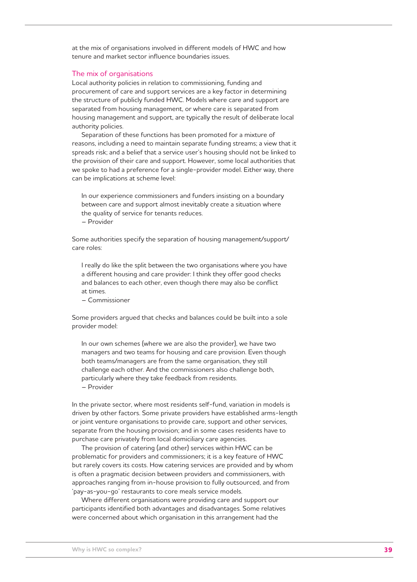at the mix of organisations involved in different models of HWC and how tenure and market sector influence boundaries issues.

#### The mix of organisations

Local authority policies in relation to commissioning, funding and procurement of care and support services are a key factor in determining the structure of publicly funded HWC. Models where care and support are separated from housing management, or where care is separated from housing management and support, are typically the result of deliberate local authority policies.

Separation of these functions has been promoted for a mixture of reasons, including a need to maintain separate funding streams; a view that it spreads risk; and a belief that a service user's housing should not be linked to the provision of their care and support. However, some local authorities that we spoke to had a preference for a single-provider model. Either way, there can be implications at scheme level:

In our experience commissioners and funders insisting on a boundary between care and support almost inevitably create a situation where the quality of service for tenants reduces. – Provider

Some authorities specify the separation of housing management/support/ care roles:

I really do like the split between the two organisations where you have a different housing and care provider: I think they offer good checks and balances to each other, even though there may also be conflict at times.

– Commissioner

Some providers argued that checks and balances could be built into a sole provider model:

In our own schemes (where we are also the provider), we have two managers and two teams for housing and care provision. Even though both teams/managers are from the same organisation, they still challenge each other. And the commissioners also challenge both, particularly where they take feedback from residents. – Provider

In the private sector, where most residents self-fund, variation in models is driven by other factors. Some private providers have established arms-length or joint venture organisations to provide care, support and other services, separate from the housing provision; and in some cases residents have to purchase care privately from local domiciliary care agencies.

The provision of catering (and other) services within HWC can be problematic for providers and commissioners; it is a key feature of HWC but rarely covers its costs. How catering services are provided and by whom is often a pragmatic decision between providers and commissioners, with approaches ranging from in-house provision to fully outsourced, and from 'pay-as-you-go' restaurants to core meals service models.

Where different organisations were providing care and support our participants identified both advantages and disadvantages. Some relatives were concerned about which organisation in this arrangement had the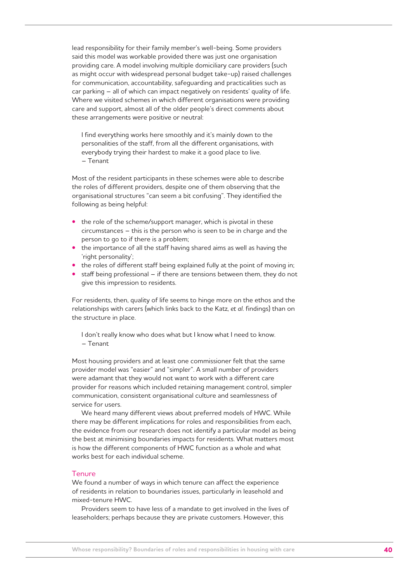lead responsibility for their family member's well-being. Some providers said this model was workable provided there was just one organisation providing care. A model involving multiple domiciliary care providers (such as might occur with widespread personal budget take-up) raised challenges for communication, accountability, safeguarding and practicalities such as car parking – all of which can impact negatively on residents' quality of life. Where we visited schemes in which different organisations were providing care and support, almost all of the older people's direct comments about these arrangements were positive or neutral:

I find everything works here smoothly and it's mainly down to the personalities of the staff, from all the different organisations, with everybody trying their hardest to make it a good place to live. – Tenant

Most of the resident participants in these schemes were able to describe the roles of different providers, despite one of them observing that the organisational structures "can seem a bit confusing". They identified the following as being helpful:

- the role of the scheme/support manager, which is pivotal in these circumstances – this is the person who is seen to be in charge and the person to go to if there is a problem;
- the importance of all the staff having shared aims as well as having the 'right personality';
- the roles of different staff being explained fully at the point of moving in;
- staff being professional if there are tensions between them, they do not give this impression to residents.

For residents, then, quality of life seems to hinge more on the ethos and the relationships with carers (which links back to the Katz, *et al*. findings) than on the structure in place.

I don't really know who does what but I know what I need to know. – Tenant

Most housing providers and at least one commissioner felt that the same provider model was "easier" and "simpler". A small number of providers were adamant that they would not want to work with a different care provider for reasons which included retaining management control, simpler communication, consistent organisational culture and seamlessness of service for users.

We heard many different views about preferred models of HWC. While there may be different implications for roles and responsibilities from each, the evidence from our research does not identify a particular model as being the best at minimising boundaries impacts for residents. What matters most is how the different components of HWC function as a whole and what works best for each individual scheme.

#### **Tenure**

We found a number of ways in which tenure can affect the experience of residents in relation to boundaries issues, particularly in leasehold and mixed-tenure HWC.

Providers seem to have less of a mandate to get involved in the lives of leaseholders; perhaps because they are private customers. However, this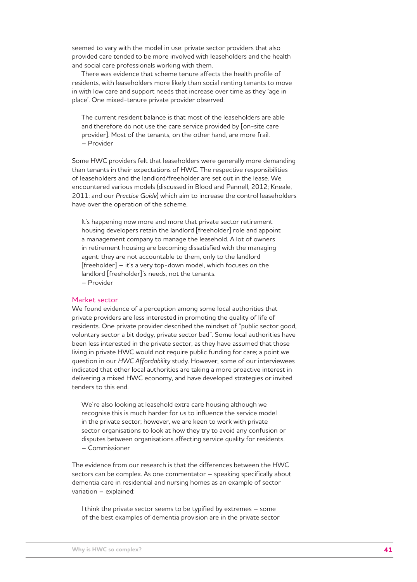seemed to vary with the model in use: private sector providers that also provided care tended to be more involved with leaseholders and the health and social care professionals working with them.

There was evidence that scheme tenure affects the health profile of residents, with leaseholders more likely than social renting tenants to move in with low care and support needs that increase over time as they 'age in place'. One mixed-tenure private provider observed:

The current resident balance is that most of the leaseholders are able and therefore do not use the care service provided by [on-site care provider]. Most of the tenants, on the other hand, are more frail. – Provider

Some HWC providers felt that leaseholders were generally more demanding than tenants in their expectations of HWC. The respective responsibilities of leaseholders and the landlord/freeholder are set out in the lease. We encountered various models (discussed in Blood and Pannell, 2012; Kneale, 2011; and our *Practice Guide*) which aim to increase the control leaseholders have over the operation of the scheme.

It's happening now more and more that private sector retirement housing developers retain the landlord [freeholder] role and appoint a management company to manage the leasehold. A lot of owners in retirement housing are becoming dissatisfied with the managing agent: they are not accountable to them, only to the landlord [freeholder] – it's a very top-down model, which focuses on the landlord [freeholder]'s needs, not the tenants.

– Provider

#### Market sector

We found evidence of a perception among some local authorities that private providers are less interested in promoting the quality of life of residents. One private provider described the mindset of "public sector good, voluntary sector a bit dodgy, private sector bad". Some local authorities have been less interested in the private sector, as they have assumed that those living in private HWC would not require public funding for care; a point we question in our *HWC Affordability* study. However, some of our interviewees indicated that other local authorities are taking a more proactive interest in delivering a mixed HWC economy, and have developed strategies or invited tenders to this end.

We're also looking at leasehold extra care housing although we recognise this is much harder for us to influence the service model in the private sector; however, we are keen to work with private sector organisations to look at how they try to avoid any confusion or disputes between organisations affecting service quality for residents. – Commissioner

The evidence from our research is that the differences between the HWC sectors can be complex. As one commentator – speaking specifically about dementia care in residential and nursing homes as an example of sector variation – explained:

I think the private sector seems to be typified by extremes – some of the best examples of dementia provision are in the private sector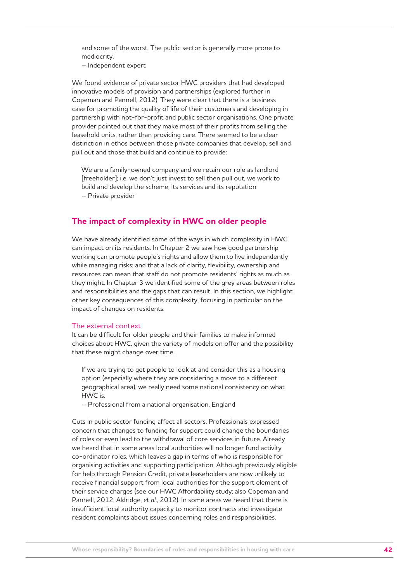and some of the worst. The public sector is generally more prone to mediocrity.

– Independent expert

We found evidence of private sector HWC providers that had developed innovative models of provision and partnerships (explored further in Copeman and Pannell, 2012). They were clear that there is a business case for promoting the quality of life of their customers and developing in partnership with not-for-profit and public sector organisations. One private provider pointed out that they make most of their profits from selling the leasehold units, rather than providing care. There seemed to be a clear distinction in ethos between those private companies that develop, sell and pull out and those that build and continue to provide:

We are a family-owned company and we retain our role as landlord [freeholder]; i.e. we don't just invest to sell then pull out, we work to build and develop the scheme, its services and its reputation. – Private provider

## **The impact of complexity in HWC on older people**

We have already identified some of the ways in which complexity in HWC can impact on its residents. In Chapter 2 we saw how good partnership working can promote people's rights and allow them to live independently while managing risks; and that a lack of clarity, flexibility, ownership and resources can mean that staff do not promote residents' rights as much as they might. In Chapter 3 we identified some of the grey areas between roles and responsibilities and the gaps that can result. In this section, we highlight other key consequences of this complexity, focusing in particular on the impact of changes on residents.

#### The external context

It can be difficult for older people and their families to make informed choices about HWC, given the variety of models on offer and the possibility that these might change over time.

If we are trying to get people to look at and consider this as a housing option (especially where they are considering a move to a different geographical area), we really need some national consistency on what HWC is.

– Professional from a national organisation, England

Cuts in public sector funding affect all sectors. Professionals expressed concern that changes to funding for support could change the boundaries of roles or even lead to the withdrawal of core services in future. Already we heard that in some areas local authorities will no longer fund activity co-ordinator roles, which leaves a gap in terms of who is responsible for organising activities and supporting participation. Although previously eligible for help through Pension Credit, private leaseholders are now unlikely to receive financial support from local authorities for the support element of their service charges (see our HWC Affordability study; also Copeman and Pannell, 2012; Aldridge, *et al*., 2012). In some areas we heard that there is insufficient local authority capacity to monitor contracts and investigate resident complaints about issues concerning roles and responsibilities.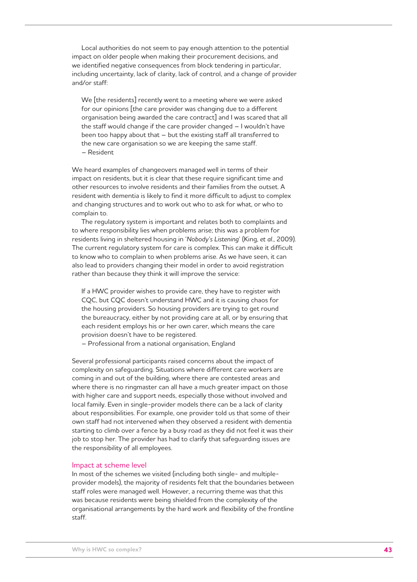Local authorities do not seem to pay enough attention to the potential impact on older people when making their procurement decisions, and we identified negative consequences from block tendering in particular, including uncertainty, lack of clarity, lack of control, and a change of provider and/or staff:

We [the residents] recently went to a meeting where we were asked for our opinions [the care provider was changing due to a different organisation being awarded the care contract] and I was scared that all the staff would change if the care provider changed – I wouldn't have been too happy about that – but the existing staff all transferred to the new care organisation so we are keeping the same staff. – Resident

We heard examples of changeovers managed well in terms of their impact on residents, but it is clear that these require significant time and other resources to involve residents and their families from the outset. A resident with dementia is likely to find it more difficult to adjust to complex and changing structures and to work out who to ask for what, or who to complain to.

The regulatory system is important and relates both to complaints and to where responsibility lies when problems arise; this was a problem for residents living in sheltered housing in '*Nobody's Listening*' (King, *et al*., 2009). The current regulatory system for care is complex. This can make it difficult to know who to complain to when problems arise. As we have seen, it can also lead to providers changing their model in order to avoid registration rather than because they think it will improve the service:

If a HWC provider wishes to provide care, they have to register with CQC, but CQC doesn't understand HWC and it is causing chaos for the housing providers. So housing providers are trying to get round the bureaucracy, either by not providing care at all, or by ensuring that each resident employs his or her own carer, which means the care provision doesn't have to be registered.

– Professional from a national organisation, England

Several professional participants raised concerns about the impact of complexity on safeguarding. Situations where different care workers are coming in and out of the building, where there are contested areas and where there is no ringmaster can all have a much greater impact on those with higher care and support needs, especially those without involved and local family. Even in single-provider models there can be a lack of clarity about responsibilities. For example, one provider told us that some of their own staff had not intervened when they observed a resident with dementia starting to climb over a fence by a busy road as they did not feel it was their job to stop her. The provider has had to clarify that safeguarding issues are the responsibility of all employees.

#### Impact at scheme level

In most of the schemes we visited (including both single- and multipleprovider models), the majority of residents felt that the boundaries between staff roles were managed well. However, a recurring theme was that this was because residents were being shielded from the complexity of the organisational arrangements by the hard work and flexibility of the frontline staff.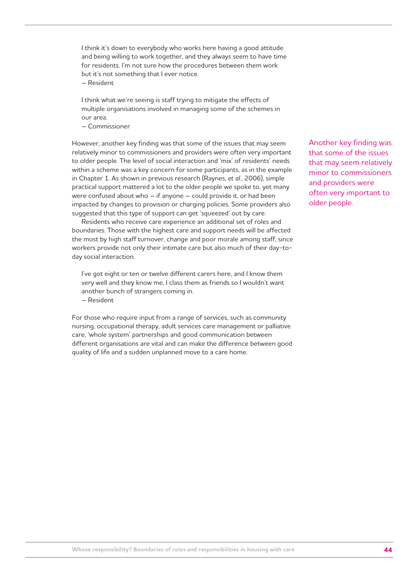I think it's down to everybody who works here having a good attitude and being willing to work together, and they always seem to have time for residents. I'm not sure how the procedures between them work but it's not something that I ever notice.

– Resident

I think what we're seeing is staff trying to mitigate the effects of multiple organisations involved in managing some of the schemes in our area.

– Commissioner

However, another key finding was that some of the issues that may seem relatively minor to commissioners and providers were often very important to older people. The level of social interaction and 'mix' of residents' needs within a scheme was a key concern for some participants, as in the example in Chapter 1. As shown in previous research (Raynes, *et al*., 2006), simple practical support mattered a lot to the older people we spoke to, yet many were confused about who – if anyone – could provide it, or had been impacted by changes to provision or charging policies. Some providers also suggested that this type of support can get 'squeezed' out by care.

Residents who receive care experience an additional set of roles and boundaries. Those with the highest care and support needs will be affected the most by high staff turnover, change and poor morale among staff, since workers provide not only their intimate care but also much of their day-today social interaction.

I've got eight or ten or twelve different carers here, and I know them very well and they know me, I class them as friends so I wouldn't want another bunch of strangers coming in. – Resident

For those who require input from a range of services, such as community nursing, occupational therapy, adult services care management or palliative care, 'whole system' partnerships and good communication between different organisations are vital and can make the difference between good quality of life and a sudden unplanned move to a care home.

Another key finding was that some of the issues that may seem relatively minor to commissioners and providers were often very important to older people.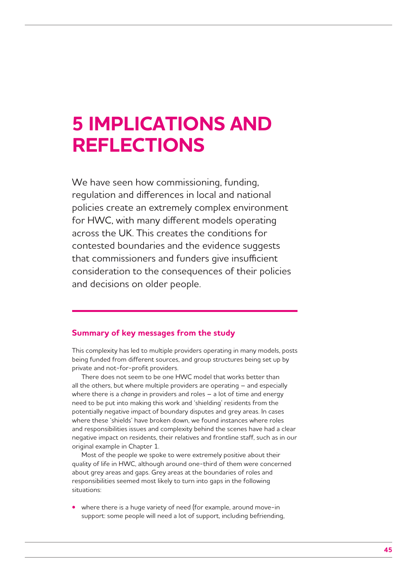## **5 IMPLICATIONS AND REFLECTIONS**

We have seen how commissioning, funding, regulation and differences in local and national policies create an extremely complex environment for HWC, with many different models operating across the UK. This creates the conditions for contested boundaries and the evidence suggests that commissioners and funders give insufficient consideration to the consequences of their policies and decisions on older people.

## **Summary of key messages from the study**

This complexity has led to multiple providers operating in many models, posts being funded from different sources, and group structures being set up by private and not-for-profit providers.

There does not seem to be one HWC model that works better than all the others, but where multiple providers are operating – and especially where there is a *change* in providers and roles – a lot of time and energy need to be put into making this work and 'shielding' residents from the potentially negative impact of boundary disputes and grey areas. In cases where these 'shields' have broken down, we found instances where roles and responsibilities issues and complexity behind the scenes have had a clear negative impact on residents, their relatives and frontline staff, such as in our original example in Chapter 1.

Most of the people we spoke to were extremely positive about their quality of life in HWC, although around one-third of them were concerned about grey areas and gaps. Grey areas at the boundaries of roles and responsibilities seemed most likely to turn into gaps in the following situations:

**•** where there is a huge variety of need (for example, around move-in support: some people will need a lot of support, including befriending,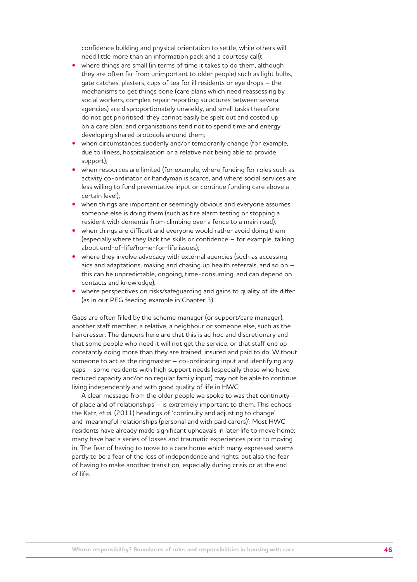confidence building and physical orientation to settle, while others will need little more than an information pack and a courtesy call);

- where things are small (in terms of time it takes to do them, although they are often far from unimportant to older people) such as light bulbs, gate catches, plasters, cups of tea for ill residents or eye drops – the mechanisms to get things done (care plans which need reassessing by social workers, complex repair reporting structures between several agencies) are disproportionately unwieldy, and small tasks therefore do not get prioritised: they cannot easily be spelt out and costed up on a care plan, and organisations tend not to spend time and energy developing shared protocols around them;
- when circumstances suddenly and/or temporarily change (for example, due to illness, hospitalisation or a relative not being able to provide support);
- when resources are limited (for example, where funding for roles such as activity co-ordinator or handyman is scarce, and where social services are less willing to fund preventative input or continue funding care above a certain level);
- when things are important or seemingly obvious and everyone assumes someone else is doing them (such as fire alarm testing or stopping a resident with dementia from climbing over a fence to a main road);
- when things are difficult and everyone would rather avoid doing them (especially where they lack the skills or confidence – for example, talking about end-of-life/home-for-life issues);
- where they involve advocacy with external agencies (such as accessing aids and adaptations, making and chasing up health referrals, and so on – this can be unpredictable, ongoing, time-consuming, and can depend on contacts and knowledge);
- where perspectives on risks/safeguarding and gains to quality of life differ (as in our PEG feeding example in Chapter 3).

Gaps are often filled by the scheme manager (or support/care manager), another staff member, a relative, a neighbour or someone else, such as the hairdresser. The dangers here are that this is ad hoc and discretionary and that some people who need it will not get the service, or that staff end up constantly doing more than they are trained, insured and paid to do. Without someone to act as the ringmaster  $-$  co-ordinating input and identifying any gaps – some residents with high support needs (especially those who have reduced capacity and/or no regular family input) may not be able to continue living independently and with good quality of life in HWC.

A clear message from the older people we spoke to was that continuity – of place and of relationships – is extremely important to them. This echoes the Katz, *et al*. (2011) headings of 'continuity and adjusting to change' and 'meaningful relationships (personal and with paid carers)'. Most HWC residents have already made significant upheavals in later life to move home; many have had a series of losses and traumatic experiences prior to moving in. The fear of having to move to a care home which many expressed seems partly to be a fear of the loss of independence and rights, but also the fear of having to make another transition, especially during crisis or at the end of life.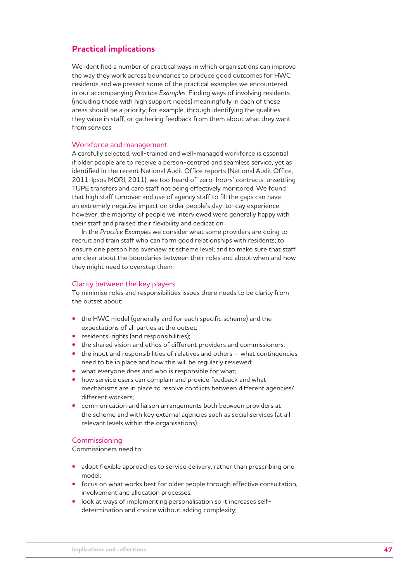## **Practical implications**

We identified a number of practical ways in which organisations can improve the way they work across boundaries to produce good outcomes for HWC residents and we present some of the practical examples we encountered in our accompanying *Practice Examples*. Finding ways of involving residents (including those with high support needs) meaningfully in each of these areas should be a priority; for example, through identifying the qualities they value in staff, or gathering feedback from them about what they want from services.

#### Workforce and management

A carefully selected, well-trained and well-managed workforce is essential if older people are to receive a person-centred and seamless service, yet as identified in the recent National Audit Office reports (National Audit Office, 2011; Ipsos MORI, 2011), we too heard of 'zero-hours' contracts, unsettling TUPE transfers and care staff not being effectively monitored. We found that high staff turnover and use of agency staff to fill the gaps can have an extremely negative impact on older people's day-to-day experience; however, the majority of people we interviewed were generally happy with their staff and praised their flexibility and dedication.

In the *Practice Examples* we consider what some providers are doing to recruit and train staff who can form good relationships with residents; to ensure one person has overview at scheme level; and to make sure that staff are clear about the boundaries between their roles and about when and how they might need to overstep them.

#### Clarity between the key players

To minimise roles and responsibilities issues there needs to be clarity from the outset about:

- the HWC model (generally and for each specific scheme) and the expectations of all parties at the outset;
- residents' rights (and responsibilities);
- the shared vision and ethos of different providers and commissioners;
- the input and responsibilities of relatives and others what contingencies need to be in place and how this will be regularly reviewed;
- what everyone does and who is responsible for what;
- how service users can complain and provide feedback and what mechanisms are in place to resolve conflicts between different agencies/ different workers;
- communication and liaison arrangements both between providers at the scheme and with key external agencies such as social services (at all relevant levels within the organisations).

#### **Commissioning**

Commissioners need to:

- adopt flexible approaches to service delivery, rather than prescribing one model;
- focus on what works best for older people through effective consultation, involvement and allocation processes;
- look at ways of implementing personalisation so it increases selfdetermination and choice without adding complexity;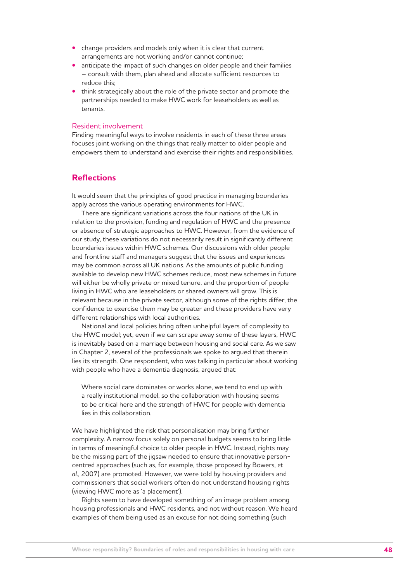- change providers and models only when it is clear that current arrangements are not working and/or cannot continue;
- anticipate the impact of such changes on older people and their families – consult with them, plan ahead and allocate sufficient resources to reduce this;
- think strategically about the role of the private sector and promote the partnerships needed to make HWC work for leaseholders as well as tenants.

#### Resident involvement

Finding meaningful ways to involve residents in each of these three areas focuses joint working on the things that really matter to older people and empowers them to understand and exercise their rights and responsibilities.

### **Reflections**

It would seem that the principles of good practice in managing boundaries apply across the various operating environments for HWC.

There are significant variations across the four nations of the UK in relation to the provision, funding and regulation of HWC and the presence or absence of strategic approaches to HWC. However, from the evidence of our study, these variations do not necessarily result in significantly different boundaries issues within HWC schemes. Our discussions with older people and frontline staff and managers suggest that the issues and experiences may be common across all UK nations. As the amounts of public funding available to develop new HWC schemes reduce, most new schemes in future will either be wholly private or mixed tenure, and the proportion of people living in HWC who are leaseholders or shared owners will grow. This is relevant because in the private sector, although some of the rights differ, the confidence to exercise them may be greater and these providers have very different relationships with local authorities.

National and local policies bring often unhelpful layers of complexity to the HWC model; yet, even if we can scrape away some of these layers, HWC is inevitably based on a marriage between housing and social care. As we saw in Chapter 2, several of the professionals we spoke to argued that therein lies its strength. One respondent, who was talking in particular about working with people who have a dementia diagnosis, argued that:

Where social care dominates or works alone, we tend to end up with a really institutional model, so the collaboration with housing seems to be critical here and the strength of HWC for people with dementia lies in this collaboration.

We have highlighted the risk that personalisation may bring further complexity. A narrow focus solely on personal budgets seems to bring little in terms of meaningful choice to older people in HWC. Instead, rights may be the missing part of the jigsaw needed to ensure that innovative personcentred approaches (such as, for example, those proposed by Bowers, *et al*., 2007) are promoted. However, we were told by housing providers and commissioners that social workers often do not understand housing rights (viewing HWC more as 'a placement').

Rights seem to have developed something of an image problem among housing professionals and HWC residents, and not without reason. We heard examples of them being used as an excuse for not doing something (such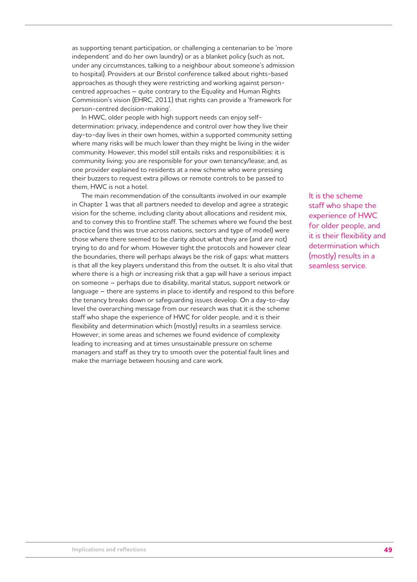as supporting tenant participation, or challenging a centenarian to be 'more independent' and do her own laundry) or as a blanket policy (such as not, under any circumstances, talking to a neighbour about someone's admission to hospital). Providers at our Bristol conference talked about rights-based approaches as though they were restricting and working against personcentred approaches – quite contrary to the Equality and Human Rights Commission's vision (EHRC, 2011) that rights can provide a 'framework for person-centred decision-making'.

In HWC, older people with high support needs can enjoy selfdetermination: privacy, independence and control over how they live their day-to-day lives in their own homes, within a supported community setting where many risks will be much lower than they might be living in the wider community. However, this model still entails risks and responsibilities: it is community living; you are responsible for your own tenancy/lease; and, as one provider explained to residents at a new scheme who were pressing their buzzers to request extra pillows or remote controls to be passed to them, HWC is not a hotel.

The main recommendation of the consultants involved in our example in Chapter 1 was that all partners needed to develop and agree a strategic vision for the scheme, including clarity about allocations and resident mix, and to convey this to frontline staff. The schemes where we found the best practice (and this was true across nations, sectors and type of model) were those where there seemed to be clarity about what they are (and are not) trying to do and for whom. However tight the protocols and however clear the boundaries, there will perhaps always be the risk of gaps: what matters is that all the key players understand this from the outset. It is also vital that where there is a high or increasing risk that a gap will have a serious impact on someone – perhaps due to disability, marital status, support network or language – there are systems in place to identify and respond to this before the tenancy breaks down or safeguarding issues develop. On a day-to-day level the overarching message from our research was that it is the scheme staff who shape the experience of HWC for older people, and it is their flexibility and determination which (mostly) results in a seamless service. However, in some areas and schemes we found evidence of complexity leading to increasing and at times unsustainable pressure on scheme managers and staff as they try to smooth over the potential fault lines and make the marriage between housing and care work.

It is the scheme staff who shape the experience of HWC for older people, and it is their flexibility and determination which (mostly) results in a seamless service.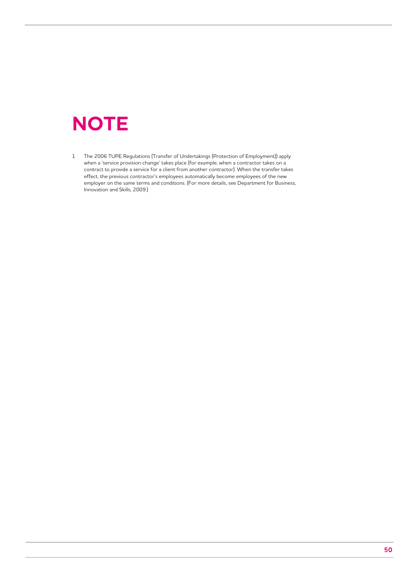## **NOTE**

1 The 2006 TUPE Regulations (Transfer of Undertakings (Protection of Employment)) apply when a 'service provision change' takes place (for example, when a contractor takes on a contract to provide a service for a client from another contractor). When the transfer takes effect, the previous contractor's employees automatically become employees of the new employer on the same terms and conditions. (For more details, see Department for Business, Innovation and Skills, 2009.)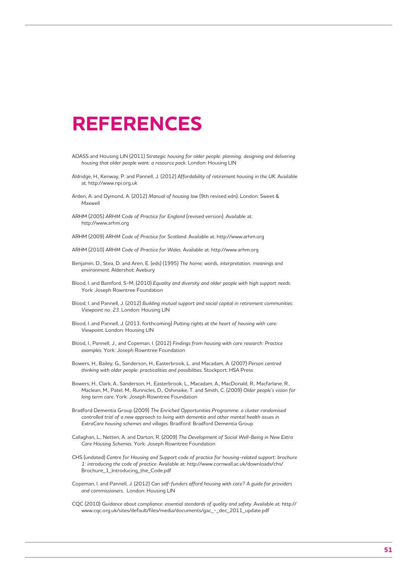## **REFERENCES**

- ADASS and Housing LIN (2011) *Strategic housing for older people: planning, designing and delivering housing that older people want: a resource pack.* London: Housing LIN
- Aldridge, H., Kenway, P. and Pannell, J. (2012) *Affordability of retirement housing in the UK*. Available at: http://www.npi.org.uk
- Arden, A. and Dymond, A. (2012) *Manual of housing law* (9th revised edn). London: Sweet & Maxwell
- ARHM (2005) *ARHM Code of Practice for England* (revised version). Available at: http://www.arhm.org
- ARHM (2009) *ARHM Code of Practice for Scotland*. Available at: http://www.arhm.org
- ARHM (2010) *ARHM Code of Practice for Wales*. Available at: http://www.arhm.org
- Benjamin, D., Stea, D. and Aren, E. (eds) (1995) *The home: words, interpretation, meanings and environment*. Aldershot: Avebury
- Blood, I. and Bamford, S-M. (2010) *Equality and diversity and older people with high support needs*. York: Joseph Rowntree Foundation
- Blood, I. and Pannell, J. (2012) *Building mutual support and social capital in retirement communities: Viewpoint no. 23*. London: Housing LIN
- Blood, I. and Pannell, J. (2013, forthcoming) *Putting rights at the heart of housing with care: Viewpoint*. London: Housing LIN
- Blood, I., Pannell, J., and Copeman, I. (2012) *Findings from housing with care research: Practice examples*. York: Joseph Rowntree Foundation
- Bowers, H., Bailey, G., Sanderson, H., Easterbrook, L. and Macadam, A. (2007) *Person centred thinking with older people: practicalities and possibilities*. Stockport: HSA Press
- Bowers, H., Clark, A., Sanderson, H., Easterbrook, L., Macadam, A., MacDonald, R., Macfarlane, R., Maclean, M., Patel, M., Runnicles, D., Oshinaike, T. and Smith, C. (2009) *Older people's vision for long term care*. York: Joseph Rowntree Foundation
- Bradford Dementia Group (2009) *The Enriched Opportunities Programme: a cluster randomised controlled trial of a new approach to living with dementia and other mental health issues in ExtraCare housing schemes and villages*. Bradford: Bradford Dementia Group
- Callaghan, L., Netten, A. and Darton, R. (2009) *The Development of Social Well-Being in New Extra Care Housing Schemes*. York: Joseph Rowntree Foundation
- CHS (undated) *Centre for Housing and Support code of practice for housing-related support: brochure 1: introducing the code of practice*. Available at: http://www.cornwall.ac.uk/downloads/chs/ Brochure\_1\_Introducing\_the\_Code.pdf
- Copeman, I. and Pannell, J. (2012) *Can self-funders afford housing with care? A guide for providers and commissioners.* London: Housing LIN
- CQC (2010) *Guidance about compliance: essential standards of quality and safety*. Available at: http:// www.cqc.org.uk/sites/default/files/media/documents/gac\_-\_dec\_2011\_update.pdf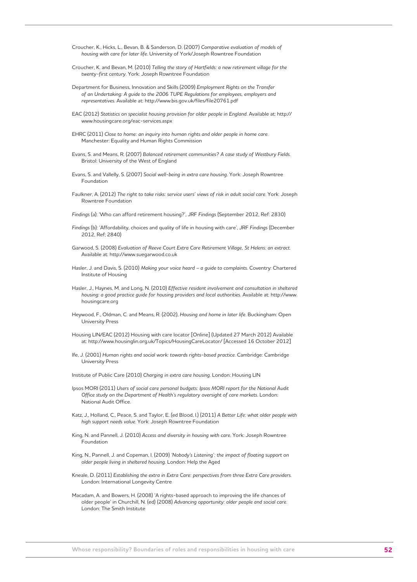- Croucher, K., Hicks, L., Bevan, B. & Sanderson, D. (2007) *Comparative evaluation of models of housing with care for later life*. University of York/Joseph Rowntree Foundation
- Croucher, K. and Bevan, M. (2010) *Telling the story of Hartfields: a new retirement village for the twenty-first century*. York: Joseph Rowntree Foundation
- Department for Business, Innovation and Skills (2009) *Employment Rights on the Transfer of an Undertaking: A guide to the 2006 TUPE Regulations for employees, employers and representatives*. Available at: http://www.bis.gov.uk/files/file20761.pdf
- EAC (2012) *Statistics on specialist housing provision for older people in England*. Available at: http:// www.housingcare.org/eac-services.aspx
- EHRC (2011) *Close to home: an inquiry into human rights and older people in home care*. Manchester: Equality and Human Rights Commission
- Evans, S. and Means, R. (2007) *Balanced retirement communities? A case study of Westbury Fields*. Bristol: University of the West of England
- Evans, S. and Vallelly, S. (2007) *Social well-being in extra care housing*. York: Joseph Rowntree Foundation
- Faulkner, A. (2012) *The right to take risks: service users' views of risk in adult social care*. York: Joseph Rowntree Foundation
- *Findings* (a): 'Who can afford retirement housing?', JRF *Findings* (September 2012, Ref: 2830)
- *Findings* (b): 'Affordability, choices and quality of life in housing with care', JRF *Findings* (December 2012, Ref; 2840)
- Garwood, S. (2008) *Evaluation of Reeve Court Extra Care Retirement Village, St Helens: an extract*. Available at: http://www.suegarwood.co.uk
- Hasler, J. and Davis, S. (2010) *Making your voice heard a guide to complaints*. Coventry: Chartered Institute of Housing
- Hasler, J., Haynes, M. and Long, N. (2010) *Effective resident involvement and consultation in sheltered housing: a good practice guide for housing providers and local authorities*. Available at: http://www. housingcare.org
- Heywood, F., Oldman, C. and Means, R. (2002), *Housing and home in later life*. Buckingham: Open University Press
- Housing LIN/EAC (2012) Housing with care locator [Online] (Updated 27 March 2012) Available at: http://www.housinglin.org.uk/Topics/HousingCareLocator/ [Accessed 16 October 2012]
- Ife, J. (2001) *Human rights and social work: towards rights-based practice*. Cambridge: Cambridge University Press

Institute of Public Care (2010) *Charging in extra care housing*. London: Housing LIN

- Ipsos MORI (2011) *Users of social care personal budgets: Ipsos MORI report for the National Audit Office study on the Department of Health's regulatory oversight of care markets*. London: National Audit Office.
- Katz, J., Holland, C., Peace, S. and Taylor, E. (ed Blood, I.) (2011) *A Better Life: what older people with high support needs value*. York: Joseph Rowntree Foundation
- King, N. and Pannell, J. (2010) *Access and diversity in housing with care*. York: Joseph Rowntree Foundation
- King, N., Pannell, J. and Copeman, I. (2009) *'Nobody's Listening': the impact of floating support on older people living in sheltered housing*. London: Help the Aged
- Kneale, D. (2011) *Establishing the extra in Extra Care: perspectives from three Extra Care providers*. London: International Longevity Centre
- Macadam, A. and Bowers, H. (2008) 'A rights-based approach to improving the life chances of older people' in Churchill, N. (ed) (2008) *Advancing opportunity: older people and social care*. London: The Smith Institute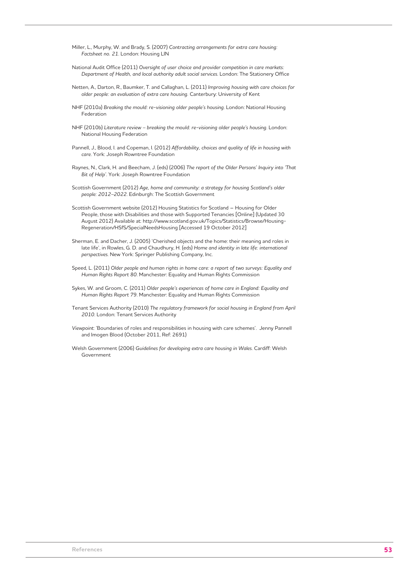- Miller, L., Murphy, W. and Brady, S. (2007) *Contracting arrangements for extra care housing: Factsheet no. 21*. London: Housing LIN
- National Audit Office (2011) *Oversight of user choice and provider competition in care markets: Department of Health, and local authority adult social services*. London: The Stationery Office
- Netten, A., Darton, R., Baumker, T. and Callaghan, L. (2011) *Improving housing with care choices for older people: an evaluation of extra care housing.* Canterbury: University of Kent
- NHF (2010a) *Breaking the mould: re-visioning older people's housing*. London: National Housing Federation
- NHF (2010b) *Literature review breaking the mould: re-visioning older people's housing*. London: National Housing Federation
- Pannell, J., Blood, I. and Copeman, I. (2012) *Affordability, choices and quality of life in housing with care*. York: Joseph Rowntree Foundation
- Raynes, N., Clark, H. and Beecham, J. (eds) (2006) *The report of the Older Persons' Inquiry into 'That Bit of Help'*. York: Joseph Rowntree Foundation
- Scottish Government (2012) *Age, home and community: a strategy for housing Scotland's older people: 2012–2022*. Edinburgh: The Scottish Government
- Scottish Government website (2012) Housing Statistics for Scotland Housing for Older People, those with Disabilities and those with Supported Tenancies [Online] (Updated 30 August 2012) Available at: http://www.scotland.gov.uk/Topics/Statistics/Browse/Housing-Regeneration/HSfS/SpecialNeedsHousing [Accessed 19 October 2012]
- Sherman, E. and Dacher, J. (2005) 'Cherished objects and the home: their meaning and roles in late life', in Rowles, G. D. and Chaudhury, H. (eds) *Home and identity in late life: international perspectives*. New York: Springer Publishing Company, Inc.
- Speed, L. (2011) *Older people and human rights in home care: a report of two surveys: Equality and Human Rights Report 80*. Manchester: Equality and Human Rights Commission
- Sykes, W. and Groom, C. (2011) *Older people's experiences of home care in England: Equality and Human Rights Report 79*. Manchester: Equality and Human Rights Commission
- Tenant Services Authority (2010) *The regulatory framework for social housing in England from April 2010*. London: Tenant Services Authority
- *Viewpoint*: 'Boundaries of roles and responsibilities in housing with care schemes'. Jenny Pannell and Imogen Blood (October 2011, Ref: 2691)
- Welsh Government (2006) *Guidelines for developing extra care housing in Wales*. Cardiff: Welsh Government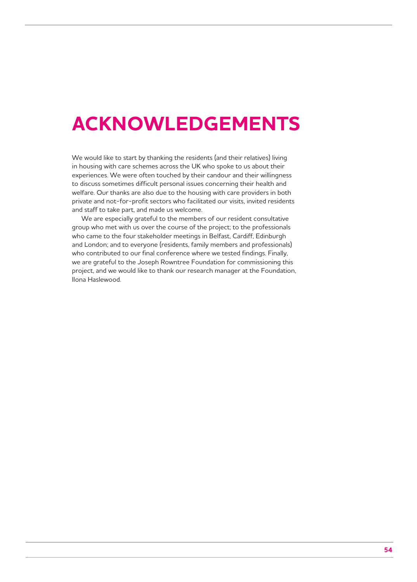## **ACKNOWLEDGEMENTS**

We would like to start by thanking the residents (and their relatives) living in housing with care schemes across the UK who spoke to us about their experiences. We were often touched by their candour and their willingness to discuss sometimes difficult personal issues concerning their health and welfare. Our thanks are also due to the housing with care providers in both private and not-for-profit sectors who facilitated our visits, invited residents and staff to take part, and made us welcome.

We are especially grateful to the members of our resident consultative group who met with us over the course of the project; to the professionals who came to the four stakeholder meetings in Belfast, Cardiff, Edinburgh and London; and to everyone (residents, family members and professionals) who contributed to our final conference where we tested findings. Finally, we are grateful to the Joseph Rowntree Foundation for commissioning this project, and we would like to thank our research manager at the Foundation, Ilona Haslewood.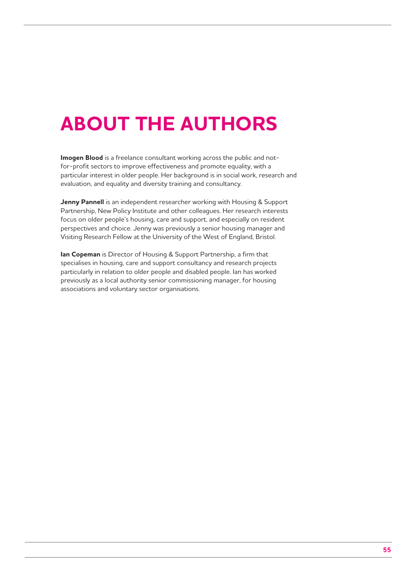# **ABOUT THE AUTHORS**

**Imogen Blood** is a freelance consultant working across the public and notfor-profit sectors to improve effectiveness and promote equality, with a particular interest in older people. Her background is in social work, research and evaluation, and equality and diversity training and consultancy.

**Jenny Pannell** is an independent researcher working with Housing & Support Partnership, New Policy Institute and other colleagues. Her research interests focus on older people's housing, care and support, and especially on resident perspectives and choice. Jenny was previously a senior housing manager and Visiting Research Fellow at the University of the West of England, Bristol.

**Ian Copeman** is Director of Housing & Support Partnership, a firm that specialises in housing, care and support consultancy and research projects particularly in relation to older people and disabled people. Ian has worked previously as a local authority senior commissioning manager, for housing associations and voluntary sector organisations.